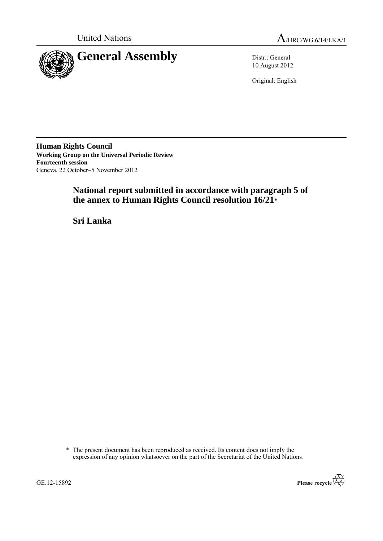



10 August 2012

Original: English

**Human Rights Council Working Group on the Universal Periodic Review Fourteenth session** Geneva, 22 October–5 November 2012

# **National report submitted in accordance with paragraph 5 of the annex to Human Rights Council resolution 16/21\***

**Sri Lanka**

<sup>\*</sup> The present document has been reproduced as received. Its content does not imply the expression of any opinion whatsoever on the part of the Secretariat of the United Nations.

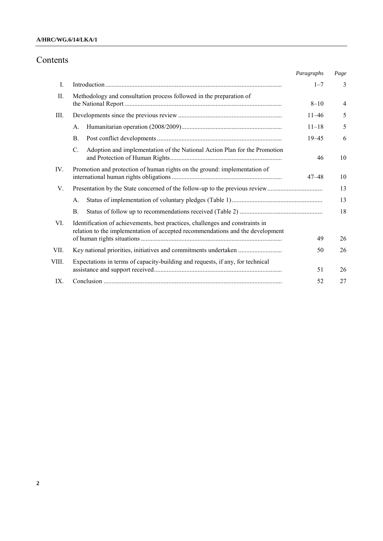## **A/HRC/WG.6/14/LKA/1**

# Contents

|       |                                                                                                                                                                 | Paragraphs | Page           |
|-------|-----------------------------------------------------------------------------------------------------------------------------------------------------------------|------------|----------------|
| Ι.    |                                                                                                                                                                 | $1 - 7$    | 3              |
| Π.    | Methodology and consultation process followed in the preparation of                                                                                             | $8 - 10$   | $\overline{4}$ |
| III.  |                                                                                                                                                                 | $11 - 46$  | 5              |
|       | A.                                                                                                                                                              | $11 - 18$  | 5              |
|       | В.                                                                                                                                                              | $19 - 45$  | 6              |
|       | C.<br>Adoption and implementation of the National Action Plan for the Promotion                                                                                 | 46         | 10             |
| IV.   | Promotion and protection of human rights on the ground: implementation of                                                                                       | $47 - 48$  | 10             |
| V.    |                                                                                                                                                                 |            | 13             |
|       | A.                                                                                                                                                              |            | 13             |
|       | <b>B.</b>                                                                                                                                                       |            | 18             |
| VI.   | Identification of achievements, best practices, challenges and constraints in<br>relation to the implementation of accepted recommendations and the development | 49         | 26             |
| VII.  | Key national priorities, initiatives and commitments undertaken                                                                                                 | 50         | 26             |
| VIII. | Expectations in terms of capacity-building and requests, if any, for technical                                                                                  | 51         | 26             |
| IX    |                                                                                                                                                                 | 52         | 27             |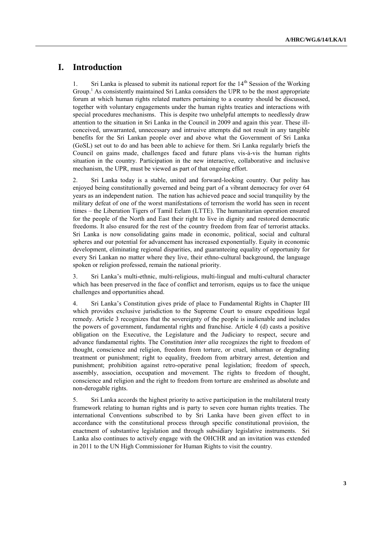# **I. Introduction**

1. Sri Lanka is pleased to submit its national report for the  $14<sup>th</sup>$  Session of the Working Group.<sup>1</sup> As consistently maintained Sri Lanka considers the UPR to be the most appropriate forum at which human rights related matters pertaining to a country should be discussed, together with voluntary engagements under the human rights treaties and interactions with special procedures mechanisms. This is despite two unhelpful attempts to needlessly draw attention to the situation in Sri Lanka in the Council in 2009 and again this year. These illconceived, unwarranted, unnecessary and intrusive attempts did not result in any tangible benefits for the Sri Lankan people over and above what the Government of Sri Lanka (GoSL) set out to do and has been able to achieve for them. Sri Lanka regularly briefs the Council on gains made, challenges faced and future plans vis-à-vis the human rights situation in the country. Participation in the new interactive, collaborative and inclusive mechanism, the UPR, must be viewed as part of that ongoing effort.

2. Sri Lanka today is a stable, united and forward-looking country. Our polity has enjoyed being constitutionally governed and being part of a vibrant democracy for over 64 years as an independent nation. The nation has achieved peace and social tranquility by the military defeat of one of the worst manifestations of terrorism the world has seen in recent times – the Liberation Tigers of Tamil Eelam (LTTE). The humanitarian operation ensured for the people of the North and East their right to live in dignity and restored democratic freedoms. It also ensured for the rest of the country freedom from fear of terrorist attacks. Sri Lanka is now consolidating gains made in economic, political, social and cultural spheres and our potential for advancement has increased exponentially. Equity in economic development, eliminating regional disparities, and guaranteeing equality of opportunity for every Sri Lankan no matter where they live, their ethno-cultural background, the language spoken or religion professed, remain the national priority.

3. Sri Lanka"s multi-ethnic, multi-religious, multi-lingual and multi-cultural character which has been preserved in the face of conflict and terrorism, equips us to face the unique challenges and opportunities ahead.

4. Sri Lanka"s Constitution gives pride of place to Fundamental Rights in Chapter III which provides exclusive jurisdiction to the Supreme Court to ensure expeditious legal remedy. Article 3 recognizes that the sovereignty of the people is inalienable and includes the powers of government, fundamental rights and franchise. Article 4 (d) casts a positive obligation on the Executive, the Legislature and the Judiciary to respect, secure and advance fundamental rights. The Constitution *inter alia* recognizes the right to freedom of thought, conscience and religion, freedom from torture, or cruel, inhuman or degrading treatment or punishment; right to equality, freedom from arbitrary arrest, detention and punishment; prohibition against retro-operative penal legislation; freedom of speech, assembly, association, occupation and movement. The rights to freedom of thought, conscience and religion and the right to freedom from torture are enshrined as absolute and non-derogable rights.

5. Sri Lanka accords the highest priority to active participation in the multilateral treaty framework relating to human rights and is party to seven core human rights treaties. The international Conventions subscribed to by Sri Lanka have been given effect to in accordance with the constitutional process through specific constitutional provision, the enactment of substantive legislation and through subsidiary legislative instruments. Sri Lanka also continues to actively engage with the OHCHR and an invitation was extended in 2011 to the UN High Commissioner for Human Rights to visit the country.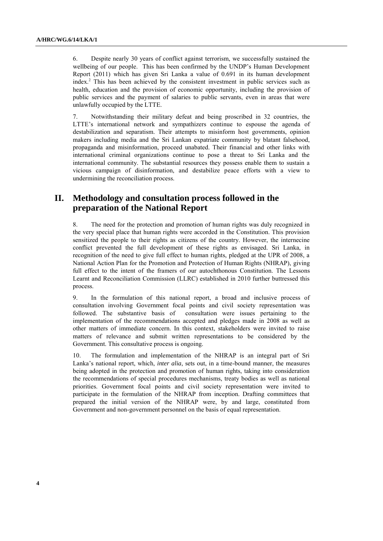6. Despite nearly 30 years of conflict against terrorism, we successfully sustained the wellbeing of our people. This has been confirmed by the UNDP's Human Development Report (2011) which has given Sri Lanka a value of 0.691 in its human development index.<sup>2</sup> This has been achieved by the consistent investment in public services such as health, education and the provision of economic opportunity, including the provision of public services and the payment of salaries to public servants, even in areas that were unlawfully occupied by the LTTE.

7. Notwithstanding their military defeat and being proscribed in 32 countries, the LTTE's international network and sympathizers continue to espouse the agenda of destabilization and separatism. Their attempts to misinform host governments, opinion makers including media and the Sri Lankan expatriate community by blatant falsehood, propaganda and misinformation, proceed unabated. Their financial and other links with international criminal organizations continue to pose a threat to Sri Lanka and the international community. The substantial resources they possess enable them to sustain a vicious campaign of disinformation, and destabilize peace efforts with a view to undermining the reconciliation process.

## **II. Methodology and consultation process followed in the preparation of the National Report**

8. The need for the protection and promotion of human rights was duly recognized in the very special place that human rights were accorded in the Constitution. This provision sensitized the people to their rights as citizens of the country. However, the internecine conflict prevented the full development of these rights as envisaged. Sri Lanka, in recognition of the need to give full effect to human rights, pledged at the UPR of 2008, a National Action Plan for the Promotion and Protection of Human Rights (NHRAP), giving full effect to the intent of the framers of our autochthonous Constitution. The Lessons Learnt and Reconciliation Commission (LLRC) established in 2010 further buttressed this process.

9. In the formulation of this national report, a broad and inclusive process of consultation involving Government focal points and civil society representation was followed. The substantive basis of consultation were issues pertaining to the consultation were issues pertaining to the implementation of the recommendations accepted and pledges made in 2008 as well as other matters of immediate concern. In this context, stakeholders were invited to raise matters of relevance and submit written representations to be considered by the Government. This consultative process is ongoing.

10. The formulation and implementation of the NHRAP is an integral part of Sri Lanka"s national report, which, *inter alia*, sets out, in a time-bound manner, the measures being adopted in the protection and promotion of human rights, taking into consideration the recommendations of special procedures mechanisms, treaty bodies as well as national priorities. Government focal points and civil society representation were invited to participate in the formulation of the NHRAP from inception. Drafting committees that prepared the initial version of the NHRAP were, by and large, constituted from Government and non-government personnel on the basis of equal representation.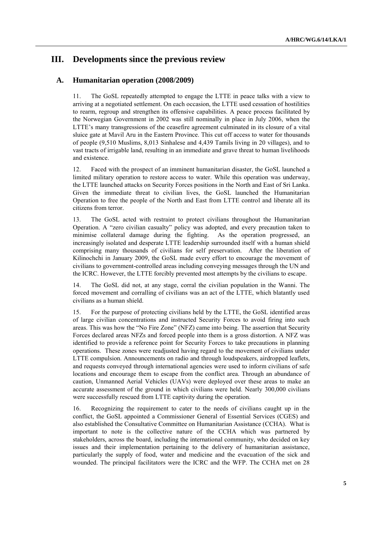## **III. Developments since the previous review**

## **A. Humanitarian operation (2008/2009)**

11. The GoSL repeatedly attempted to engage the LTTE in peace talks with a view to arriving at a negotiated settlement. On each occasion, the LTTE used cessation of hostilities to rearm, regroup and strengthen its offensive capabilities. A peace process facilitated by the Norwegian Government in 2002 was still nominally in place in July 2006, when the LTTE"s many transgressions of the ceasefire agreement culminated in its closure of a vital sluice gate at Mavil Aru in the Eastern Province. This cut off access to water for thousands of people (9,510 Muslims, 8,013 Sinhalese and 4,439 Tamils living in 20 villages), and to vast tracts of irrigable land, resulting in an immediate and grave threat to human livelihoods and existence.

12. Faced with the prospect of an imminent humanitarian disaster, the GoSL launched a limited military operation to restore access to water. While this operation was underway, the LTTE launched attacks on Security Forces positions in the North and East of Sri Lanka. Given the immediate threat to civilian lives, the GoSL launched the Humanitarian Operation to free the people of the North and East from LTTE control and liberate all its citizens from terror.

13. The GoSL acted with restraint to protect civilians throughout the Humanitarian Operation. A "zero civilian casualty" policy was adopted, and every precaution taken to minimise collateral damage during the fighting. increasingly isolated and desperate LTTE leadership surrounded itself with a human shield comprising many thousands of civilians for self preservation. After the liberation of Kilinochchi in January 2009, the GoSL made every effort to encourage the movement of civilians to government-controlled areas including conveying messages through the UN and the ICRC. However, the LTTE forcibly prevented most attempts by the civilians to escape.

14. The GoSL did not, at any stage, corral the civilian population in the Wanni. The forced movement and corralling of civilians was an act of the LTTE, which blatantly used civilians as a human shield.

15. For the purpose of protecting civilians held by the LTTE, the GoSL identified areas of large civilian concentrations and instructed Security Forces to avoid firing into such areas. This was how the "No Fire Zone" (NFZ) came into being. The assertion that Security Forces declared areas NFZs and forced people into them is a gross distortion. A NFZ was identified to provide a reference point for Security Forces to take precautions in planning operations. These zones were readjusted having regard to the movement of civilians under LTTE compulsion. Announcements on radio and through loudspeakers, airdropped leaflets, and requests conveyed through international agencies were used to inform civilians of safe locations and encourage them to escape from the conflict area. Through an abundance of caution, Unmanned Aerial Vehicles (UAVs) were deployed over these areas to make an accurate assessment of the ground in which civilians were held. Nearly 300,000 civilians were successfully rescued from LTTE captivity during the operation.

16. Recognizing the requirement to cater to the needs of civilians caught up in the conflict, the GoSL appointed a Commissioner General of Essential Services (CGES) and also established the Consultative Committee on Humanitarian Assistance (CCHA). What is important to note is the collective nature of the CCHA which was partnered by stakeholders, across the board, including the international community, who decided on key issues and their implementation pertaining to the delivery of humanitarian assistance, particularly the supply of food, water and medicine and the evacuation of the sick and wounded. The principal facilitators were the ICRC and the WFP. The CCHA met on 28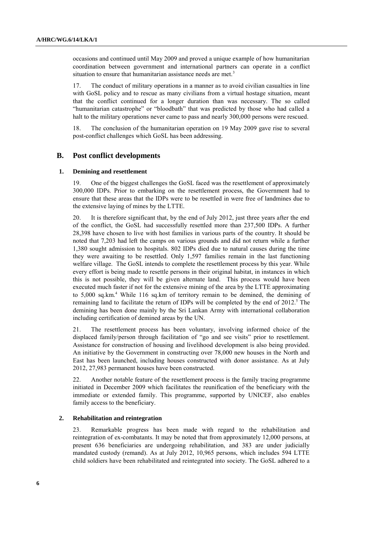occasions and continued until May 2009 and proved a unique example of how humanitarian coordination between government and international partners can operate in a conflict situation to ensure that humanitarian assistance needs are met.<sup>3</sup>

17. The conduct of military operations in a manner as to avoid civilian casualties in line with GoSL policy and to rescue as many civilians from a virtual hostage situation, meant that the conflict continued for a longer duration than was necessary. The so called "humanitarian catastrophe" or "bloodbath" that was predicted by those who had called a halt to the military operations never came to pass and nearly 300,000 persons were rescued.

18. The conclusion of the humanitarian operation on 19 May 2009 gave rise to several post-conflict challenges which GoSL has been addressing.

### **B. Post conflict developments**

#### **1. Demining and resettlement**

19. One of the biggest challenges the GoSL faced was the resettlement of approximately 300,000 IDPs. Prior to embarking on the resettlement process, the Government had to ensure that these areas that the IDPs were to be resettled in were free of landmines due to the extensive laying of mines by the LTTE.

20. It is therefore significant that, by the end of July 2012, just three years after the end of the conflict, the GoSL had successfully resettled more than 237,500 IDPs. A further 28,398 have chosen to live with host families in various parts of the country. It should be noted that 7,203 had left the camps on various grounds and did not return while a further 1,380 sought admission to hospitals. 802 IDPs died due to natural causes during the time they were awaiting to be resettled. Only 1,597 families remain in the last functioning welfare village. The GoSL intends to complete the resettlement process by this year. While every effort is being made to resettle persons in their original habitat, in instances in which this is not possible, they will be given alternate land. This process would have been executed much faster if not for the extensive mining of the area by the LTTE approximating to 5,000 sq.km.<sup>4</sup> While 116 sq.km of territory remain to be demined, the demining of remaining land to facilitate the return of IDPs will be completed by the end of 2012.<sup>5</sup> The demining has been done mainly by the Sri Lankan Army with international collaboration including certification of demined areas by the UN.

21. The resettlement process has been voluntary, involving informed choice of the displaced family/person through facilitation of "go and see visits" prior to resettlement. Assistance for construction of housing and livelihood development is also being provided. An initiative by the Government in constructing over 78,000 new houses in the North and East has been launched, including houses constructed with donor assistance. As at July 2012, 27,983 permanent houses have been constructed.

22. Another notable feature of the resettlement process is the family tracing programme initiated in December 2009 which facilitates the reunification of the beneficiary with the immediate or extended family. This programme, supported by UNICEF, also enables family access to the beneficiary.

### **2. Rehabilitation and reintegration**

23. Remarkable progress has been made with regard to the rehabilitation and reintegration of ex-combatants. It may be noted that from approximately 12,000 persons, at present 636 beneficiaries are undergoing rehabilitation, and 383 are under judicially mandated custody (remand). As at July 2012, 10,965 persons, which includes 594 LTTE child soldiers have been rehabilitated and reintegrated into society. The GoSL adhered to a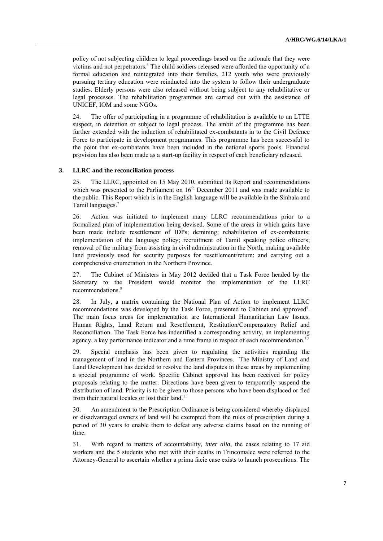policy of not subjecting children to legal proceedings based on the rationale that they were victims and not perpetrators.<sup>6</sup> The child soldiers released were afforded the opportunity of a formal education and reintegrated into their families. 212 youth who were previously pursuing tertiary education were reinducted into the system to follow their undergraduate studies. Elderly persons were also released without being subject to any rehabilitative or legal processes. The rehabilitation programmes are carried out with the assistance of UNICEF, IOM and some NGOs.

24. The offer of participating in a programme of rehabilitation is available to an LTTE suspect, in detention or subject to legal process. The ambit of the programme has been further extended with the induction of rehabilitated ex-combatants in to the Civil Defence Force to participate in development programmes. This programme has been successful to the point that ex-combatants have been included in the national sports pools. Financial provision has also been made as a start-up facility in respect of each beneficiary released.

#### **3. LLRC and the reconciliation process**

25. The LLRC, appointed on 15 May 2010, submitted its Report and recommendations which was presented to the Parliament on  $16<sup>th</sup>$  December 2011 and was made available to the public. This Report which is in the English language will be available in the Sinhala and Tamil languages.<sup>7</sup>

26. Action was initiated to implement many LLRC recommendations prior to a formalized plan of implementation being devised. Some of the areas in which gains have been made include resettlement of IDPs; demining; rehabilitation of ex-combatants; implementation of the language policy; recruitment of Tamil speaking police officers; removal of the military from assisting in civil administration in the North, making available land previously used for security purposes for resettlement/return; and carrying out a comprehensive enumeration in the Northern Province.

27. The Cabinet of Ministers in May 2012 decided that a Task Force headed by the Secretary to the President would monitor the implementation of the LLRC recommendations. 8

28. In July, a matrix containing the National Plan of Action to implement LLRC recommendations was developed by the Task Force, presented to Cabinet and approved<sup>9</sup>. The main focus areas for implementation are International Humanitarian Law Issues, Human Rights, Land Return and Resettlement, Restitution/Compensatory Relief and Reconciliation. The Task Force has indentified a corresponding activity, an implementing agency, a key performance indicator and a time frame in respect of each recommendation.<sup>10</sup>

29. Special emphasis has been given to regulating the activities regarding the management of land in the Northern and Eastern Provinces. The Ministry of Land and Land Development has decided to resolve the land disputes in these areas by implementing a special programme of work. Specific Cabinet approval has been received for policy proposals relating to the matter. Directions have been given to temporarily suspend the distribution of land. Priority is to be given to those persons who have been displaced or fled from their natural locales or lost their land.<sup>11</sup>

30. An amendment to the Prescription Ordinance is being considered whereby displaced or disadvantaged owners of land will be exempted from the rules of prescription during a period of 30 years to enable them to defeat any adverse claims based on the running of time.

31. With regard to matters of accountability, *inter alia,* the cases relating to 17 aid workers and the 5 students who met with their deaths in Trincomalee were referred to the Attorney-General to ascertain whether a prima facie case exists to launch prosecutions. The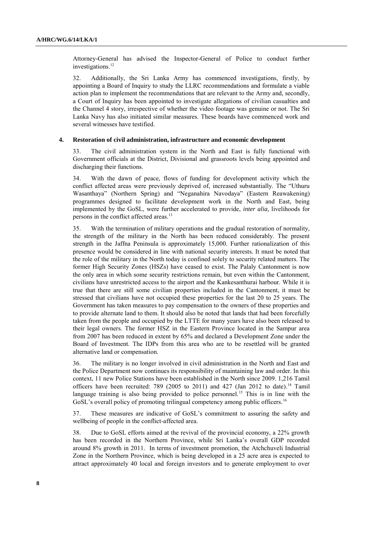Attorney-General has advised the Inspector-General of Police to conduct further investigations.<sup>12</sup>

32. Additionally, the Sri Lanka Army has commenced investigations, firstly, by appointing a Board of Inquiry to study the LLRC recommendations and formulate a viable action plan to implement the recommendations that are relevant to the Army and, secondly, a Court of Inquiry has been appointed to investigate allegations of civilian casualties and the Channel 4 story, irrespective of whether the video footage was genuine or not. The Sri Lanka Navy has also initiated similar measures. These boards have commenced work and several witnesses have testified.

#### **4. Restoration of civil administration, infrastructure and economic development**

33. The civil administration system in the North and East is fully functional with Government officials at the District, Divisional and grassroots levels being appointed and discharging their functions.

34. With the dawn of peace, flows of funding for development activity which the conflict affected areas were previously deprived of, increased substantially. The "Uthuru Wasanthaya" (Northern Spring) and "Neganahira Navodaya" (Eastern Reawakening) programmes designed to facilitate development work in the North and East, being implemented by the GoSL, were further accelerated to provide, *inter alia,* livelihoods for persons in the conflict affected areas.<sup>13</sup>

35. With the termination of military operations and the gradual restoration of normality, the strength of the military in the North has been reduced considerably. The present strength in the Jaffna Peninsula is approximately 15,000. Further rationalization of this presence would be considered in line with national security interests. It must be noted that the role of the military in the North today is confined solely to security related matters. The former High Security Zones (HSZs) have ceased to exist. The Palaly Cantonment is now the only area in which some security restrictions remain, but even within the Cantonment, civilians have unrestricted access to the airport and the Kankesanthurai harbour. While it is true that there are still some civilian properties included in the Cantonment, it must be stressed that civilians have not occupied these properties for the last 20 to 25 years. The Government has taken measures to pay compensation to the owners of these properties and to provide alternate land to them. It should also be noted that lands that had been forcefully taken from the people and occupied by the LTTE for many years have also been released to their legal owners. The former HSZ in the Eastern Province located in the Sampur area from 2007 has been reduced in extent by 65% and declared a Development Zone under the Board of Investment. The IDPs from this area who are to be resettled will be granted alternative land or compensation.

36. The military is no longer involved in civil administration in the North and East and the Police Department now continues its responsibility of maintaining law and order. In this context, 11 new Police Stations have been established in the North since 2009. 1,216 Tamil officers have been recruited:  $789$  (2005 to 2011) and 427 (Jan 2012 to date).<sup>14</sup> Tamil language training is also being provided to police personnel.<sup>15</sup> This is in line with the GoSL's overall policy of promoting trilingual competency among public officers.<sup>16</sup>

37. These measures are indicative of GoSL"s commitment to assuring the safety and wellbeing of people in the conflict-affected area.

38. Due to GoSL efforts aimed at the revival of the provincial economy, a 22% growth has been recorded in the Northern Province, while Sri Lanka"s overall GDP recorded around 8% growth in 2011. In terms of investment promotion, the Atchchuveli Industrial Zone in the Northern Province, which is being developed in a 25 acre area is expected to attract approximately 40 local and foreign investors and to generate employment to over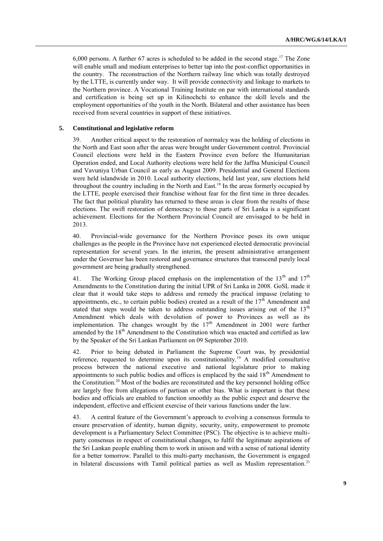6,000 persons. A further 67 acres is scheduled to be added in the second stage.<sup>17</sup> The Zone will enable small and medium enterprises to better tap into the post-conflict opportunities in the country. The reconstruction of the Northern railway line which was totally destroyed by the LTTE, is currently under way. It will provide connectivity and linkage to markets to the Northern province. A Vocational Training Institute on par with international standards and certification is being set up in Kilinochchi to enhance the skill levels and the employment opportunities of the youth in the North. Bilateral and other assistance has been received from several countries in support of these initiatives.

#### **5. Constitutional and legislative reform**

39. Another critical aspect to the restoration of normalcy was the holding of elections in the North and East soon after the areas were brought under Government control. Provincial Council elections were held in the Eastern Province even before the Humanitarian Operation ended, and Local Authority elections were held for the Jaffna Municipal Council and Vavuniya Urban Council as early as August 2009. Presidential and General Elections were held islandwide in 2010. Local authority elections, held last year, saw elections held throughout the country including in the North and East.<sup>18</sup> In the areas formerly occupied by the LTTE, people exercised their franchise without fear for the first time in three decades. The fact that political plurality has returned to these areas is clear from the results of these elections. The swift restoration of democracy to those parts of Sri Lanka is a significant achievement. Elections for the Northern Provincial Council are envisaged to be held in 2013.

40. Provincial-wide governance for the Northern Province poses its own unique challenges as the people in the Province have not experienced elected democratic provincial representation for several years. In the interim, the present administrative arrangement under the Governor has been restored and governance structures that transcend purely local government are being gradually strengthened.

41. The Working Group placed emphasis on the implementation of the  $13<sup>th</sup>$  and  $17<sup>th</sup>$ Amendments to the Constitution during the initial UPR of Sri Lanka in 2008. GoSL made it clear that it would take steps to address and remedy the practical impasse (relating to appointments, etc., to certain public bodies) created as a result of the  $17<sup>th</sup>$  Amendment and stated that steps would be taken to address outstanding issues arising out of the  $13<sup>th</sup>$ Amendment which deals with devolution of power to Provinces as well as its implementation. The changes wrought by the  $17<sup>th</sup>$  Amendment in 2001 were further amended by the  $18<sup>th</sup>$  Amendment to the Constitution which was enacted and certified as law by the Speaker of the Sri Lankan Parliament on 09 September 2010.

42. Prior to being debated in Parliament the Supreme Court was, by presidential reference, requested to determine upon its constitutionality.<sup>19</sup> A modified consultative process between the national executive and national legislature prior to making appointments to such public bodies and offices is emplaced by the said  $18<sup>th</sup>$  Amendment to the Constitution.<sup>20</sup> Most of the bodies are reconstituted and the key personnel holding office are largely free from allegations of partisan or other bias. What is important is that these bodies and officials are enabled to function smoothly as the public expect and deserve the independent, effective and efficient exercise of their various functions under the law.

43. A central feature of the Government"s approach to evolving a consensus formula to ensure preservation of identity, human dignity, security, unity, empowerment to promote development is a Parliamentary Select Committee (PSC). The objective is to achieve multiparty consensus in respect of constitutional changes, to fulfil the legitimate aspirations of the Sri Lankan people enabling them to work in unison and with a sense of national identity for a better tomorrow. Parallel to this multi-party mechanism, the Government is engaged in bilateral discussions with Tamil political parties as well as Muslim representation.<sup>21</sup>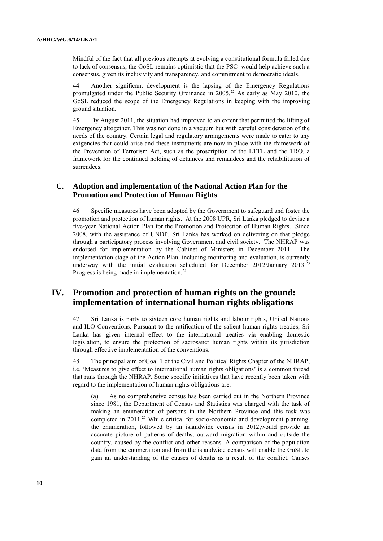Mindful of the fact that all previous attempts at evolving a constitutional formula failed due to lack of consensus, the GoSL remains optimistic that the PSC would help achieve such a consensus, given its inclusivity and transparency, and commitment to democratic ideals.

44. Another significant development is the lapsing of the Emergency Regulations promulgated under the Public Security Ordinance in 2005.<sup>22</sup> As early as May 2010, the GoSL reduced the scope of the Emergency Regulations in keeping with the improving ground situation.

45. By August 2011, the situation had improved to an extent that permitted the lifting of Emergency altogether. This was not done in a vacuum but with careful consideration of the needs of the country. Certain legal and regulatory arrangements were made to cater to any exigencies that could arise and these instruments are now in place with the framework of the Prevention of Terrorism Act, such as the proscription of the LTTE and the TRO, a framework for the continued holding of detainees and remandees and the rehabilitation of surrendees.

## **C. Adoption and implementation of the National Action Plan for the Promotion and Protection of Human Rights**

46. Specific measures have been adopted by the Government to safeguard and foster the promotion and protection of human rights. At the 2008 UPR, Sri Lanka pledged to devise a five-year National Action Plan for the Promotion and Protection of Human Rights. Since 2008, with the assistance of UNDP, Sri Lanka has worked on delivering on that pledge through a participatory process involving Government and civil society. The NHRAP was endorsed for implementation by the Cabinet of Ministers in December 2011. The implementation stage of the Action Plan, including monitoring and evaluation, is currently underway with the initial evaluation scheduled for December 2012/January 2013.<sup>23</sup> Progress is being made in implementation.<sup>24</sup>

# **IV. Promotion and protection of human rights on the ground: implementation of international human rights obligations**

47. Sri Lanka is party to sixteen core human rights and labour rights, United Nations and ILO Conventions. Pursuant to the ratification of the salient human rights treaties, Sri Lanka has given internal effect to the international treaties via enabling domestic legislation, to ensure the protection of sacrosanct human rights within its jurisdiction through effective implementation of the conventions.

48. The principal aim of Goal 1 of the Civil and Political Rights Chapter of the NHRAP, i.e. "Measures to give effect to international human rights obligations" is a common thread that runs through the NHRAP. Some specific initiatives that have recently been taken with regard to the implementation of human rights obligations are:

(a) As no comprehensive census has been carried out in the Northern Province since 1981, the Department of Census and Statistics was charged with the task of making an enumeration of persons in the Northern Province and this task was completed in 2011. <sup>25</sup> While critical for socio-economic and development planning, the enumeration, followed by an islandwide census in 2012,would provide an accurate picture of patterns of deaths, outward migration within and outside the country, caused by the conflict and other reasons. A comparison of the population data from the enumeration and from the islandwide census will enable the GoSL to gain an understanding of the causes of deaths as a result of the conflict. Causes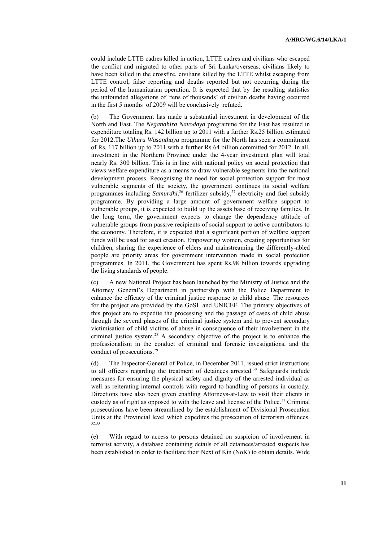could include LTTE cadres killed in action, LTTE cadres and civilians who escaped the conflict and migrated to other parts of Sri Lanka/overseas, civilians likely to have been killed in the crossfire, civilians killed by the LTTE whilst escaping from LTTE control, false reporting and deaths reported but not occurring during the period of the humanitarian operation. It is expected that by the resulting statistics the unfounded allegations of "tens of thousands" of civilian deaths having occurred in the first 5 months of 2009 will be conclusively refuted.

(b) The Government has made a substantial investment in development of the North and East. The *Neganahira Navodaya* programme for the East has resulted in expenditure totaling Rs. 142 billion up to 2011 with a further Rs.25 billion estimated for 2012.The *Uthuru Wasanthaya* programme for the North has seen a commitment of Rs. 117 billion up to 2011 with a further Rs 64 billion committed for 2012. In all, investment in the Northern Province under the 4-year investment plan will total nearly Rs. 300 billion. This is in line with national policy on social protection that views welfare expenditure as a means to draw vulnerable segments into the national development process. Recognising the need for social protection support for most vulnerable segments of the society, the government continues its social welfare programmes including *Samurdhi*,<sup>26</sup> fertilizer subsidy,<sup>27</sup> electricity and fuel subsidy programme. By providing a large amount of government welfare support to vulnerable groups, it is expected to build up the assets base of receiving families. In the long term, the government expects to change the dependency attitude of vulnerable groups from passive recipients of social support to active contributors to the economy. Therefore, it is expected that a significant portion of welfare support funds will be used for asset creation. Empowering women, creating opportunities for children, sharing the experience of elders and mainstreaming the differently-abled people are priority areas for government intervention made in social protection programmes. In 2011, the Government has spent Rs.98 billion towards upgrading the living standards of people.

(c) A new National Project has been launched by the Ministry of Justice and the Attorney General"s Department in partnership with the Police Department to enhance the efficacy of the criminal justice response to child abuse. The resources for the project are provided by the GoSL and UNICEF. The primary objectives of this project are to expedite the processing and the passage of cases of child abuse through the several phases of the criminal justice system and to prevent secondary victimisation of child victims of abuse in consequence of their involvement in the criminal justice system.<sup>28</sup> A secondary objective of the project is to enhance the professionalism in the conduct of criminal and forensic investigations, and the conduct of prosecutions.<sup>29</sup>

(d) The Inspector-General of Police, in December 2011, issued strict instructions to all officers regarding the treatment of detainees arrested.<sup>30</sup> Safeguards include measures for ensuring the physical safety and dignity of the arrested individual as well as reiterating internal controls with regard to handling of persons in custody. Directions have also been given enabling Attorneys-at-Law to visit their clients in custody as of right as opposed to with the leave and license of the Police.<sup>31</sup> Criminal prosecutions have been streamlined by the establishment of Divisional Prosecution Units at the Provincial level which expedites the prosecution of terrorism offences. 32,33

(e) With regard to access to persons detained on suspicion of involvement in terrorist activity, a database containing details of all detainees/arrested suspects has been established in order to facilitate their Next of Kin (NoK) to obtain details. Wide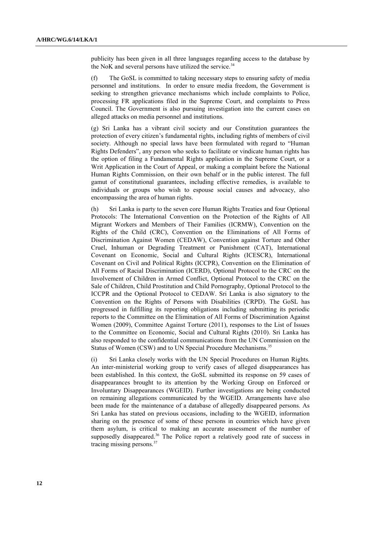publicity has been given in all three languages regarding access to the database by the NoK and several persons have utilized the service.<sup>34</sup>

(f) The GoSL is committed to taking necessary steps to ensuring safety of media personnel and institutions. In order to ensure media freedom, the Government is seeking to strengthen grievance mechanisms which include complaints to Police, processing FR applications filed in the Supreme Court, and complaints to Press Council. The Government is also pursuing investigation into the current cases on alleged attacks on media personnel and institutions.

(g) Sri Lanka has a vibrant civil society and our Constitution guarantees the protection of every citizen"s fundamental rights, including rights of members of civil society. Although no special laws have been formulated with regard to "Human Rights Defenders", any person who seeks to facilitate or vindicate human rights has the option of filing a Fundamental Rights application in the Supreme Court, or a Writ Application in the Court of Appeal, or making a complaint before the National Human Rights Commission, on their own behalf or in the public interest. The full gamut of constitutional guarantees, including effective remedies, is available to individuals or groups who wish to espouse social causes and advocacy, also encompassing the area of human rights.

(h) Sri Lanka is party to the seven core Human Rights Treaties and four Optional Protocols: The International Convention on the Protection of the Rights of All Migrant Workers and Members of Their Families (ICRMW), Convention on the Rights of the Child (CRC), Convention on the Eliminations of All Forms of Discrimination Against Women (CEDAW), [Convention against Torture and Other](http://www2.ohchr.org/english/law/cat.htm)  [Cruel, Inhuman or Degrading Treatment or Punishment](http://www2.ohchr.org/english/law/cat.htm) (CAT), International Covenant on Economic, Social and Cultural Rights (ICESCR), International Covenant on Civil and Political Rights (ICCPR), Convention on the Elimination of All Forms of Racial Discrimination (ICERD), Optional Protocol to the CRC on the Involvement of Children in Armed Conflict, Optional Protocol to the CRC on the Sale of Children, Child Prostitution and Child Pornography, Optional Protocol to the ICCPR and the Optional Protocol to CEDAW. Sri Lanka is also signatory to the Convention on the Rights of Persons with Disabilities (CRPD). The GoSL has progressed in fulfilling its reporting obligations including submitting its periodic reports to the Committee on the Elimination of All Forms of Discrimination Against Women (2009), Committee Against Torture (2011), responses to the List of Issues to the Committee on Economic, Social and Cultural Rights (2010). Sri Lanka has also responded to the confidential communications from the UN Commission on the Status of Women (CSW) and to UN Special Procedure Mechanisms.<sup>35</sup>

(i) Sri Lanka closely works with the UN Special Procedures on Human Rights. An inter-ministerial working group to verify cases of alleged disappearances has been established. In this context, the GoSL submitted its response on 59 cases of disappearances brought to its attention by the Working Group on Enforced or Involuntary Disappearances (WGEID). Further investigations are being conducted on remaining allegations communicated by the WGEID. Arrangements have also been made for the maintenance of a database of allegedly disappeared persons. As Sri Lanka has stated on previous occasions, including to the WGEID, information sharing on the presence of some of these persons in countries which have given them asylum, is critical to making an accurate assessment of the number of supposedly disappeared.<sup>36</sup> The Police report a relatively good rate of success in tracing missing persons.37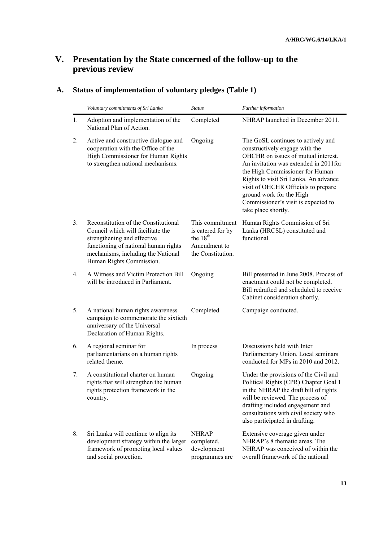# **V. Presentation by the State concerned of the follow-up to the previous review**

|    | Voluntary commitments of Sri Lanka                                                                                                                                                                                 | <b>Status</b>                                                                                     | Further information                                                                                                                                                                                                                                                                                                                                                |
|----|--------------------------------------------------------------------------------------------------------------------------------------------------------------------------------------------------------------------|---------------------------------------------------------------------------------------------------|--------------------------------------------------------------------------------------------------------------------------------------------------------------------------------------------------------------------------------------------------------------------------------------------------------------------------------------------------------------------|
| 1. | Adoption and implementation of the<br>National Plan of Action.                                                                                                                                                     | Completed                                                                                         | NHRAP launched in December 2011.                                                                                                                                                                                                                                                                                                                                   |
| 2. | Active and constructive dialogue and<br>cooperation with the Office of the<br>High Commissioner for Human Rights<br>to strengthen national mechanisms.                                                             | Ongoing                                                                                           | The GoSL continues to actively and<br>constructively engage with the<br>OHCHR on issues of mutual interest.<br>An invitation was extended in 2011 for<br>the High Commissioner for Human<br>Rights to visit Sri Lanka. An advance<br>visit of OHCHR Officials to prepare<br>ground work for the High<br>Commissioner's visit is expected to<br>take place shortly. |
| 3. | Reconstitution of the Constitutional<br>Council which will facilitate the<br>strengthening and effective<br>functioning of national human rights<br>mechanisms, including the National<br>Human Rights Commission. | This commitment<br>is catered for by<br>the 18 <sup>th</sup><br>Amendment to<br>the Constitution. | Human Rights Commission of Sri<br>Lanka (HRCSL) constituted and<br>functional.                                                                                                                                                                                                                                                                                     |
| 4. | A Witness and Victim Protection Bill<br>will be introduced in Parliament.                                                                                                                                          | Ongoing                                                                                           | Bill presented in June 2008. Process of<br>enactment could not be completed.<br>Bill redrafted and scheduled to receive<br>Cabinet consideration shortly.                                                                                                                                                                                                          |
| 5. | A national human rights awareness<br>campaign to commemorate the sixtieth<br>anniversary of the Universal<br>Declaration of Human Rights.                                                                          | Completed                                                                                         | Campaign conducted.                                                                                                                                                                                                                                                                                                                                                |
| 6. | A regional seminar for<br>parliamentarians on a human rights<br>related theme.                                                                                                                                     | In process                                                                                        | Discussions held with Inter<br>Parliamentary Union. Local seminars<br>conducted for MPs in 2010 and 2012.                                                                                                                                                                                                                                                          |
| 7. | A constitutional charter on human<br>rights that will strengthen the human<br>rights protection framework in the<br>country.                                                                                       | Ongoing                                                                                           | Under the provisions of the Civil and<br>Political Rights (CPR) Chapter Goal 1<br>in the NHRAP the draft bill of rights<br>will be reviewed. The process of<br>drafting included engagement and<br>consultations with civil society who<br>also participated in drafting.                                                                                          |
| 8. | Sri Lanka will continue to align its<br>development strategy within the larger<br>framework of promoting local values<br>and social protection.                                                                    | <b>NHRAP</b><br>completed,<br>development<br>programmes are                                       | Extensive coverage given under<br>NHRAP's 8 thematic areas. The<br>NHRAP was conceived of within the<br>overall framework of the national                                                                                                                                                                                                                          |

# **A. Status of implementation of voluntary pledges (Table 1)**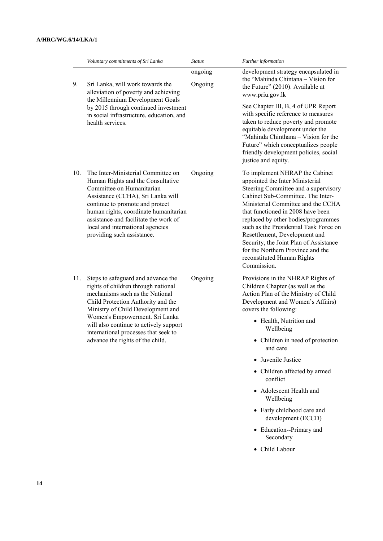|     | Voluntary commitments of Sri Lanka                                                                                                                                                                                                                                                                                               | <b>Status</b>      | Further information                                                                                                                                                                                                                                                                                                                                                                                                                                                     |
|-----|----------------------------------------------------------------------------------------------------------------------------------------------------------------------------------------------------------------------------------------------------------------------------------------------------------------------------------|--------------------|-------------------------------------------------------------------------------------------------------------------------------------------------------------------------------------------------------------------------------------------------------------------------------------------------------------------------------------------------------------------------------------------------------------------------------------------------------------------------|
| 9.  | Sri Lanka, will work towards the<br>alleviation of poverty and achieving<br>the Millennium Development Goals                                                                                                                                                                                                                     | ongoing<br>Ongoing | development strategy encapsulated in<br>the "Mahinda Chintana - Vision for<br>the Future" (2010). Available at<br>www.priu.gov.lk                                                                                                                                                                                                                                                                                                                                       |
|     | by 2015 through continued investment<br>in social infrastructure, education, and<br>health services.                                                                                                                                                                                                                             |                    | See Chapter III, B, 4 of UPR Report<br>with specific reference to measures<br>taken to reduce poverty and promote<br>equitable development under the<br>"Mahinda Chinthana - Vision for the<br>Future" which conceptualizes people<br>friendly development policies, social<br>justice and equity.                                                                                                                                                                      |
| 10. | The Inter-Ministerial Committee on<br>Human Rights and the Consultative<br>Committee on Humanitarian<br>Assistance (CCHA), Sri Lanka will<br>continue to promote and protect<br>human rights, coordinate humanitarian<br>assistance and facilitate the work of<br>local and international agencies<br>providing such assistance. | Ongoing            | To implement NHRAP the Cabinet<br>appointed the Inter Ministerial<br>Steering Committee and a supervisory<br>Cabinet Sub-Committee. The Inter-<br>Ministerial Committee and the CCHA<br>that functioned in 2008 have been<br>replaced by other bodies/programmes<br>such as the Presidential Task Force on<br>Resettlement, Development and<br>Security, the Joint Plan of Assistance<br>for the Northern Province and the<br>reconstituted Human Rights<br>Commission. |
| 11. | Steps to safeguard and advance the<br>rights of children through national<br>mechanisms such as the National<br>Child Protection Authority and the<br>Ministry of Child Development and                                                                                                                                          | Ongoing            | Provisions in the NHRAP Rights of<br>Children Chapter (as well as the<br>Action Plan of the Ministry of Child<br>Development and Women's Affairs)<br>covers the following:                                                                                                                                                                                                                                                                                              |
|     | Women's Empowerment. Sri Lanka<br>will also continue to actively support<br>international processes that seek to<br>advance the rights of the child.                                                                                                                                                                             |                    | • Health, Nutrition and<br>Wellbeing                                                                                                                                                                                                                                                                                                                                                                                                                                    |
|     |                                                                                                                                                                                                                                                                                                                                  |                    | • Children in need of protection<br>and care                                                                                                                                                                                                                                                                                                                                                                                                                            |
|     |                                                                                                                                                                                                                                                                                                                                  |                    | • Juvenile Justice                                                                                                                                                                                                                                                                                                                                                                                                                                                      |
|     |                                                                                                                                                                                                                                                                                                                                  |                    | • Children affected by armed<br>conflict                                                                                                                                                                                                                                                                                                                                                                                                                                |
|     |                                                                                                                                                                                                                                                                                                                                  |                    | • Adolescent Health and<br>Wellbeing                                                                                                                                                                                                                                                                                                                                                                                                                                    |
|     |                                                                                                                                                                                                                                                                                                                                  |                    | • Early childhood care and<br>development (ECCD)                                                                                                                                                                                                                                                                                                                                                                                                                        |
|     |                                                                                                                                                                                                                                                                                                                                  |                    | • Education--Primary and<br>Secondary                                                                                                                                                                                                                                                                                                                                                                                                                                   |
|     |                                                                                                                                                                                                                                                                                                                                  |                    | • Child Labour                                                                                                                                                                                                                                                                                                                                                                                                                                                          |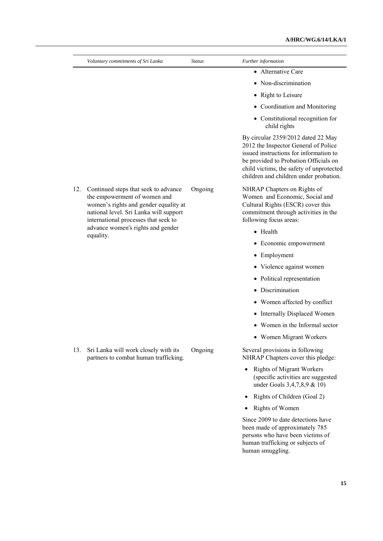|     | Voluntary commitments of Sri Lanka                                                                                                                                                                                                                | <b>Status</b> | Further information                                                                                                                                                                                                                                 |
|-----|---------------------------------------------------------------------------------------------------------------------------------------------------------------------------------------------------------------------------------------------------|---------------|-----------------------------------------------------------------------------------------------------------------------------------------------------------------------------------------------------------------------------------------------------|
|     |                                                                                                                                                                                                                                                   |               | • Alternative Care                                                                                                                                                                                                                                  |
|     |                                                                                                                                                                                                                                                   |               | • Non-discrimination                                                                                                                                                                                                                                |
|     |                                                                                                                                                                                                                                                   |               | • Right to Leisure                                                                                                                                                                                                                                  |
|     |                                                                                                                                                                                                                                                   |               | • Coordination and Monitoring                                                                                                                                                                                                                       |
|     |                                                                                                                                                                                                                                                   |               | • Constitutional recognition for<br>child rights                                                                                                                                                                                                    |
|     |                                                                                                                                                                                                                                                   |               | By circular 2359/2012 dated 22 May<br>2012 the Inspector General of Police<br>issued instructions for information to<br>be provided to Probation Officials on<br>child victims, the safety of unprotected<br>children and children under probation. |
| 12. | Continued steps that seek to advance<br>the empowerment of women and<br>women's rights and gender equality at<br>national level. Sri Lanka will support<br>international processes that seek to<br>advance women's rights and gender<br>equality. | Ongoing       | NHRAP Chapters on Rights of<br>Women and Economic, Social and<br>Cultural Rights (ESCR) cover this<br>commitment through activities in the<br>following focus areas:                                                                                |
|     |                                                                                                                                                                                                                                                   |               | • Health                                                                                                                                                                                                                                            |
|     |                                                                                                                                                                                                                                                   |               | • Economic empowerment                                                                                                                                                                                                                              |
|     |                                                                                                                                                                                                                                                   |               | • Employment                                                                                                                                                                                                                                        |
|     |                                                                                                                                                                                                                                                   |               | • Violence against women                                                                                                                                                                                                                            |
|     |                                                                                                                                                                                                                                                   |               | • Political representation                                                                                                                                                                                                                          |
|     |                                                                                                                                                                                                                                                   |               | • Discrimination                                                                                                                                                                                                                                    |
|     |                                                                                                                                                                                                                                                   |               | • Women affected by conflict                                                                                                                                                                                                                        |
|     |                                                                                                                                                                                                                                                   |               | • Internally Displaced Women                                                                                                                                                                                                                        |
|     |                                                                                                                                                                                                                                                   |               | Women in the Informal sector                                                                                                                                                                                                                        |
|     |                                                                                                                                                                                                                                                   |               | • Women Migrant Workers                                                                                                                                                                                                                             |
| 13. | Sri Lanka will work closely with its<br>partners to combat human trafficking.                                                                                                                                                                     | Ongoing       | Several provisions in following<br>NHRAP Chapters cover this pledge:                                                                                                                                                                                |
|     |                                                                                                                                                                                                                                                   |               | <b>Rights of Migrant Workers</b><br>$\bullet$<br>(specific activities are suggested<br>under Goals 3,4,7,8,9 & 10)                                                                                                                                  |
|     |                                                                                                                                                                                                                                                   |               | Rights of Children (Goal 2)                                                                                                                                                                                                                         |
|     |                                                                                                                                                                                                                                                   |               | Rights of Women                                                                                                                                                                                                                                     |
|     |                                                                                                                                                                                                                                                   |               | Since 2009 to date detections have<br>been made of approximately 785<br>persons who have been victims of<br>human trafficking or subjects of<br>human smuggling.                                                                                    |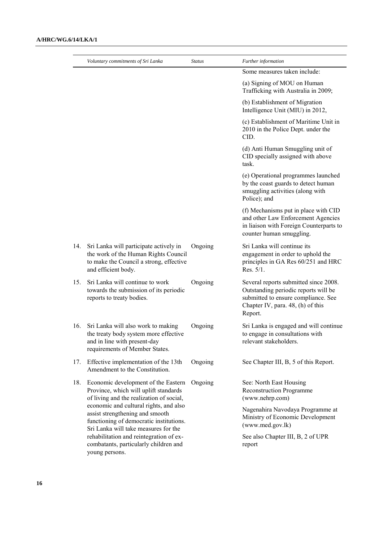|     | Voluntary commitments of Sri Lanka                                                                                                                           | <b>Status</b> | Further information                                                                                                                                                  |
|-----|--------------------------------------------------------------------------------------------------------------------------------------------------------------|---------------|----------------------------------------------------------------------------------------------------------------------------------------------------------------------|
|     |                                                                                                                                                              |               | Some measures taken include:                                                                                                                                         |
|     |                                                                                                                                                              |               | (a) Signing of MOU on Human<br>Trafficking with Australia in 2009;                                                                                                   |
|     |                                                                                                                                                              |               | (b) Establishment of Migration<br>Intelligence Unit (MIU) in 2012,                                                                                                   |
|     |                                                                                                                                                              |               | (c) Establishment of Maritime Unit in<br>2010 in the Police Dept. under the<br>CID.                                                                                  |
|     |                                                                                                                                                              |               | (d) Anti Human Smuggling unit of<br>CID specially assigned with above<br>task.                                                                                       |
|     |                                                                                                                                                              |               | (e) Operational programmes launched<br>by the coast guards to detect human<br>smuggling activities (along with<br>Police); and                                       |
|     |                                                                                                                                                              |               | (f) Mechanisms put in place with CID<br>and other Law Enforcement Agencies<br>in liaison with Foreign Counterparts to<br>counter human smuggling.                    |
| 14. | Sri Lanka will participate actively in<br>the work of the Human Rights Council<br>to make the Council a strong, effective<br>and efficient body.             | Ongoing       | Sri Lanka will continue its<br>engagement in order to uphold the<br>principles in GA Res 60/251 and HRC<br>Res. 5/1.                                                 |
| 15. | Sri Lanka will continue to work<br>towards the submission of its periodic<br>reports to treaty bodies.                                                       | Ongoing       | Several reports submitted since 2008.<br>Outstanding periodic reports will be<br>submitted to ensure compliance. See<br>Chapter IV, para. 48, (h) of this<br>Report. |
| 16. | Sri Lanka will also work to making<br>the treaty body system more effective<br>and in line with present-day<br>requirements of Member States.                | Ongoing       | Sri Lanka is engaged and will continue<br>to engage in consultations with<br>relevant stakeholders.                                                                  |
| 17. | Effective implementation of the 13th<br>Amendment to the Constitution.                                                                                       | Ongoing       | See Chapter III, B, 5 of this Report.                                                                                                                                |
| 18. | Economic development of the Eastern<br>Province, which will uplift standards<br>of living and the realization of social,                                     | Ongoing       | See: North East Housing<br><b>Reconstruction Programme</b><br>(www.nehrp.com)                                                                                        |
|     | economic and cultural rights, and also<br>assist strengthening and smooth<br>functioning of democratic institutions.<br>Sri Lanka will take measures for the |               | Nagenahira Navodaya Programme at<br>Ministry of Economic Development<br>(www.med.gov.lk)                                                                             |
|     | rehabilitation and reintegration of ex-<br>combatants, particularly children and<br>young persons.                                                           |               | See also Chapter III, B, 2 of UPR<br>report                                                                                                                          |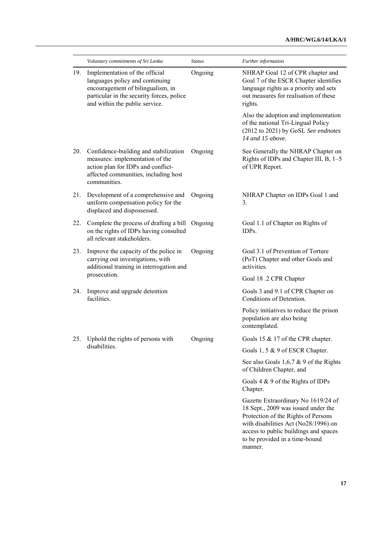|     | Voluntary commitments of Sri Lanka                                                                                                                                                    | <b>Status</b> | Further information                                                                                                                                                                                                                             |
|-----|---------------------------------------------------------------------------------------------------------------------------------------------------------------------------------------|---------------|-------------------------------------------------------------------------------------------------------------------------------------------------------------------------------------------------------------------------------------------------|
| 19. | Implementation of the official<br>languages policy and continuing<br>encouragement of bilingualism, in<br>particular in the security forces, police<br>and within the public service. | Ongoing       | NHRAP Goal 12 of CPR chapter and<br>Goal 7 of the ESCR Chapter identifies<br>language rights as a priority and sets<br>out measures for realisation of these<br>rights.                                                                         |
|     |                                                                                                                                                                                       |               | Also the adoption and implementation<br>of the national Tri-Lingual Policy<br>(2012 to 2021) by GoSL See endnotes<br>14 and 15 above.                                                                                                           |
|     | 20. Confidence-building and stabilization<br>measures: implementation of the<br>action plan for IDPs and conflict-<br>affected communities, including host<br>communities.            | Ongoing       | See Generally the NHRAP Chapter on<br>Rights of IDPs and Chapter III, B, 1-5<br>of UPR Report.                                                                                                                                                  |
| 21. | Development of a comprehensive and<br>uniform compensation policy for the<br>displaced and dispossessed.                                                                              | Ongoing       | NHRAP Chapter on IDPs Goal 1 and<br>3.                                                                                                                                                                                                          |
| 22. | Complete the process of drafting a bill<br>on the rights of IDPs having consulted<br>all relevant stakeholders.                                                                       | Ongoing       | Goal 1.1 of Chapter on Rights of<br>IDPs.                                                                                                                                                                                                       |
| 23. | Improve the capacity of the police in<br>carrying out investigations, with<br>additional training in interrogation and<br>prosecution.                                                | Ongoing       | Goal 3.1 of Prevention of Torture<br>(PoT) Chapter and other Goals and<br>activities.                                                                                                                                                           |
|     |                                                                                                                                                                                       |               | Goal 18 .2 CPR Chapter                                                                                                                                                                                                                          |
| 24. | Improve and upgrade detention<br>facilities.                                                                                                                                          |               | Goals 3 and 9.1 of CPR Chapter on<br>Conditions of Detention.                                                                                                                                                                                   |
|     |                                                                                                                                                                                       |               | Policy initiatives to reduce the prison<br>population are also being<br>contemplated.                                                                                                                                                           |
|     | 25. Uphold the rights of persons with                                                                                                                                                 | Ongoing       | Goals 15 & 17 of the CPR chapter.                                                                                                                                                                                                               |
|     | disabilities.                                                                                                                                                                         |               | Goals 1, 5 & 9 of ESCR Chapter.                                                                                                                                                                                                                 |
|     |                                                                                                                                                                                       |               | See also Goals 1,6,7 $& 9$ of the Rights<br>of Children Chapter, and                                                                                                                                                                            |
|     |                                                                                                                                                                                       |               | Goals $4 \& 9$ of the Rights of IDPs<br>Chapter.                                                                                                                                                                                                |
|     |                                                                                                                                                                                       |               | Gazette Extraordinary No 1619/24 of<br>18 Sept., 2009 was issued under the<br>Protection of the Rights of Persons<br>with disabilities Act (No28/1996) on<br>access to public buildings and spaces<br>to be provided in a time-bound<br>manner. |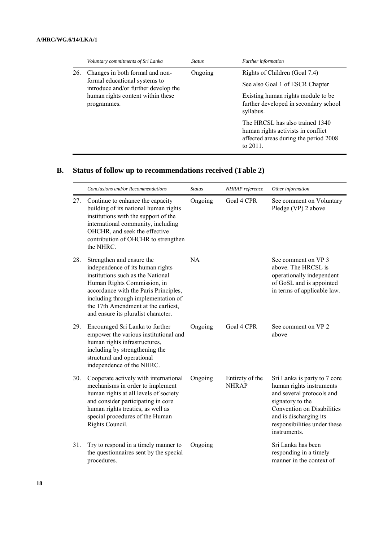|     | Voluntary commitments of Sri Lanka                                                                                                                           | <i>Status</i> | Further information                                                                                                           |
|-----|--------------------------------------------------------------------------------------------------------------------------------------------------------------|---------------|-------------------------------------------------------------------------------------------------------------------------------|
| 26. | Changes in both formal and non-<br>formal educational systems to<br>introduce and/or further develop the<br>human rights content within these<br>programmes. | Ongoing       | Rights of Children (Goal 7.4)<br>See also Goal 1 of ESCR Chapter                                                              |
|     |                                                                                                                                                              |               | Existing human rights module to be<br>further developed in secondary school<br>syllabus.                                      |
|     |                                                                                                                                                              |               | The HRCSL has also trained 1340<br>human rights activists in conflict<br>affected areas during the period 2008<br>to $2011$ . |

# **B. Status of follow up to recommendations received (Table 2)**

|     | Conclusions and/or Recommendations                                                                                                                                                                                                                                                              | <b>Status</b> | NHRAP reference                 | Other information                                                                                                                                                                                                        |
|-----|-------------------------------------------------------------------------------------------------------------------------------------------------------------------------------------------------------------------------------------------------------------------------------------------------|---------------|---------------------------------|--------------------------------------------------------------------------------------------------------------------------------------------------------------------------------------------------------------------------|
| 27. | Continue to enhance the capacity<br>building of its national human rights<br>institutions with the support of the<br>international community, including<br>OHCHR, and seek the effective<br>contribution of OHCHR to strengthen<br>the NHRC.                                                    | Ongoing       | Goal 4 CPR                      | See comment on Voluntary<br>Pledge (VP) 2 above                                                                                                                                                                          |
| 28. | Strengthen and ensure the<br>independence of its human rights<br>institutions such as the National<br>Human Rights Commission, in<br>accordance with the Paris Principles,<br>including through implementation of<br>the 17th Amendment at the earliest,<br>and ensure its pluralist character. | NA            |                                 | See comment on VP 3<br>above. The HRCSL is<br>operationally independent<br>of GoSL and is appointed<br>in terms of applicable law.                                                                                       |
| 29. | Encouraged Sri Lanka to further<br>empower the various institutional and<br>human rights infrastructures,<br>including by strengthening the<br>structural and operational<br>independence of the NHRC.                                                                                          | Ongoing       | Goal 4 CPR                      | See comment on VP 2<br>above                                                                                                                                                                                             |
| 30. | Cooperate actively with international<br>mechanisms in order to implement<br>human rights at all levels of society<br>and consider participating in core<br>human rights treaties, as well as<br>special procedures of the Human<br>Rights Council.                                             | Ongoing       | Entirety of the<br><b>NHRAP</b> | Sri Lanka is party to 7 core<br>human rights instruments<br>and several protocols and<br>signatory to the<br><b>Convention on Disabilities</b><br>and is discharging its<br>responsibilities under these<br>instruments. |
| 31. | Try to respond in a timely manner to<br>the questionnaires sent by the special<br>procedures.                                                                                                                                                                                                   | Ongoing       |                                 | Sri Lanka has been<br>responding in a timely<br>manner in the context of                                                                                                                                                 |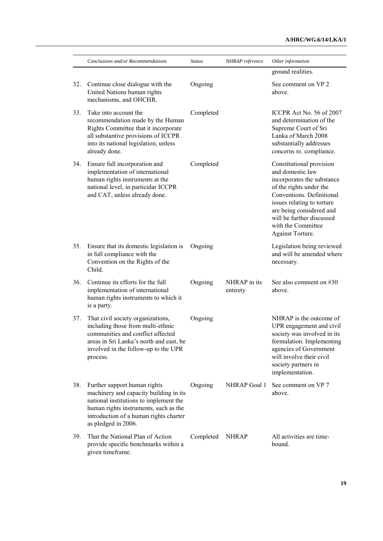|     | Conclusions and/or Recommendations                                                                                                                                                                                         | <b>Status</b> | NHRAP reference          | Other information                                                                                                                                                                                                                                                   |
|-----|----------------------------------------------------------------------------------------------------------------------------------------------------------------------------------------------------------------------------|---------------|--------------------------|---------------------------------------------------------------------------------------------------------------------------------------------------------------------------------------------------------------------------------------------------------------------|
|     |                                                                                                                                                                                                                            |               |                          | ground realities.                                                                                                                                                                                                                                                   |
| 32. | Continue close dialogue with the<br>United Nations human rights<br>mechanisms, and OHCHR.                                                                                                                                  | Ongoing       |                          | See comment on VP 2<br>above.                                                                                                                                                                                                                                       |
| 33. | Take into account the<br>recommendation made by the Human<br>Rights Committee that it incorporate<br>all substantive provisions of ICCPR<br>into its national legislation, unless<br>already done.                         | Completed     |                          | ICCPR Act No. 56 of 2007<br>and determination of the<br>Supreme Court of Sri<br>Lanka of March 2008<br>substantially addresses<br>concerns re. compliance.                                                                                                          |
| 34. | Ensure full incorporation and<br>implementation of international<br>human rights instruments at the<br>national level, in particular ICCPR<br>and CAT, unless already done.                                                | Completed     |                          | Constitutional provision<br>and domestic law<br>incorporates the substance<br>of the rights under the<br>Conventions. Definitional<br>issues relating to torture<br>are being considered and<br>will be further discussed<br>with the Committee<br>Against Torture. |
| 35. | Ensure that its domestic legislation is<br>in full compliance with the<br>Convention on the Rights of the<br>Child.                                                                                                        | Ongoing       |                          | Legislation being reviewed<br>and will be amended where<br>necessary.                                                                                                                                                                                               |
| 36. | Continue its efforts for the full<br>implementation of international<br>human rights instruments to which it<br>is a party.                                                                                                | Ongoing       | NHRAP in its<br>entirety | See also comment on #30<br>above.                                                                                                                                                                                                                                   |
| 37. | That civil society organizations,<br>including those from multi-ethnic<br>communities and conflict affected<br>areas in Sri Lanka's north and east, be<br>involved in the follow-up to the UPR<br>process.                 | Ongoing       |                          | NHRAP is the outcome of<br>UPR engagement and civil<br>society was involved in its<br>formulation. Implementing<br>agencies of Government<br>will involve their civil<br>society partners in<br>implementation.                                                     |
| 38. | Further support human rights<br>machinery and capacity building in its<br>national institutions to implement the<br>human rights instruments, such as the<br>introduction of a human rights charter<br>as pledged in 2006. | Ongoing       | NHRAP Goal 1             | See comment on VP 7<br>above.                                                                                                                                                                                                                                       |
| 39. | That the National Plan of Action<br>provide specific benchmarks within a<br>given timeframe.                                                                                                                               | Completed     | <b>NHRAP</b>             | All activities are time-<br>bound.                                                                                                                                                                                                                                  |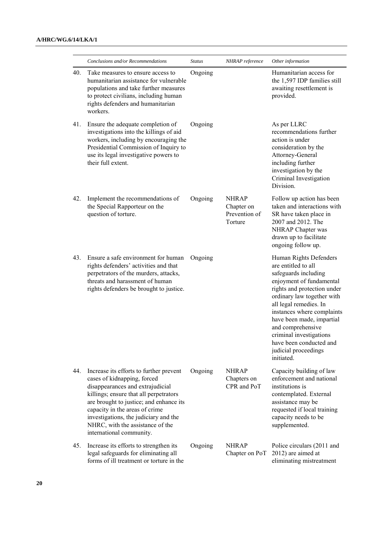|     | Conclusions and/or Recommendations                                                                                                                                                                                                                                                                                                         | <b>Status</b> | NHRAP reference                                        | Other information                                                                                                                                                                                                                                                                                                                                                    |
|-----|--------------------------------------------------------------------------------------------------------------------------------------------------------------------------------------------------------------------------------------------------------------------------------------------------------------------------------------------|---------------|--------------------------------------------------------|----------------------------------------------------------------------------------------------------------------------------------------------------------------------------------------------------------------------------------------------------------------------------------------------------------------------------------------------------------------------|
| 40. | Take measures to ensure access to<br>humanitarian assistance for vulnerable<br>populations and take further measures<br>to protect civilians, including human<br>rights defenders and humanitarian<br>workers.                                                                                                                             | Ongoing       |                                                        | Humanitarian access for<br>the 1,597 IDP families still<br>awaiting resettlement is<br>provided.                                                                                                                                                                                                                                                                     |
| 41. | Ensure the adequate completion of<br>investigations into the killings of aid<br>workers, including by encouraging the<br>Presidential Commission of Inquiry to<br>use its legal investigative powers to<br>their full extent.                                                                                                              | Ongoing       |                                                        | As per LLRC<br>recommendations further<br>action is under<br>consideration by the<br>Attorney-General<br>including further<br>investigation by the<br>Criminal Investigation<br>Division.                                                                                                                                                                            |
| 42. | Implement the recommendations of<br>the Special Rapporteur on the<br>question of torture.                                                                                                                                                                                                                                                  | Ongoing       | <b>NHRAP</b><br>Chapter on<br>Prevention of<br>Torture | Follow up action has been<br>taken and interactions with<br>SR have taken place in<br>2007 and 2012. The<br>NHRAP Chapter was<br>drawn up to facilitate<br>ongoing follow up.                                                                                                                                                                                        |
| 43. | Ensure a safe environment for human<br>rights defenders' activities and that<br>perpetrators of the murders, attacks,<br>threats and harassment of human<br>rights defenders be brought to justice.                                                                                                                                        | Ongoing       |                                                        | Human Rights Defenders<br>are entitled to all<br>safeguards including<br>enjoyment of fundamental<br>rights and protection under<br>ordinary law together with<br>all legal remedies. In<br>instances where complaints<br>have been made, impartial<br>and comprehensive<br>criminal investigations<br>have been conducted and<br>judicial proceedings<br>initiated. |
| 44. | Increase its efforts to further prevent<br>cases of kidnapping, forced<br>disappearances and extrajudicial<br>killings; ensure that all perpetrators<br>are brought to justice; and enhance its<br>capacity in the areas of crime<br>investigations, the judiciary and the<br>NHRC, with the assistance of the<br>international community. | Ongoing       | <b>NHRAP</b><br>Chapters on<br>CPR and PoT             | Capacity building of law<br>enforcement and national<br>institutions is<br>contemplated. External<br>assistance may be<br>requested if local training<br>capacity needs to be<br>supplemented.                                                                                                                                                                       |
| 45. | Increase its efforts to strengthen its<br>legal safeguards for eliminating all<br>forms of ill treatment or torture in the                                                                                                                                                                                                                 | Ongoing       | <b>NHRAP</b><br>Chapter on PoT                         | Police circulars (2011 and<br>2012) are aimed at<br>eliminating mistreatment                                                                                                                                                                                                                                                                                         |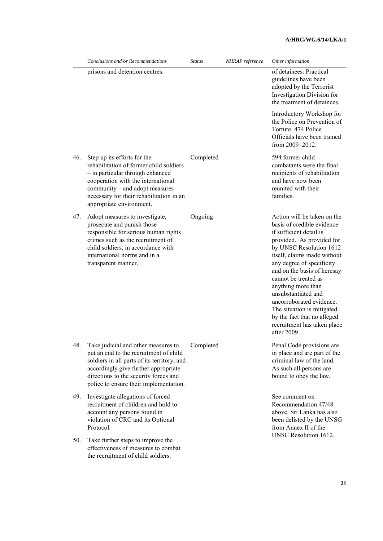## **A/HRC/WG.6/14/LKA/1**

|     | Conclusions and/or Recommendations                                                                                                                                                                                                                         | <b>Status</b> | NHRAP reference | Other information                                                                                                                                                                                                                                                                                                                                                                                                                                   |
|-----|------------------------------------------------------------------------------------------------------------------------------------------------------------------------------------------------------------------------------------------------------------|---------------|-----------------|-----------------------------------------------------------------------------------------------------------------------------------------------------------------------------------------------------------------------------------------------------------------------------------------------------------------------------------------------------------------------------------------------------------------------------------------------------|
|     | prisons and detention centres.                                                                                                                                                                                                                             |               |                 | of detainees. Practical<br>guidelines have been<br>adopted by the Terrorist<br>Investigation Division for<br>the treatment of detainees.                                                                                                                                                                                                                                                                                                            |
|     |                                                                                                                                                                                                                                                            |               |                 | Introductory Workshop for<br>the Police on Prevention of<br>Torture. 474 Police<br>Officials have been trained<br>from 2009-2012.                                                                                                                                                                                                                                                                                                                   |
| 46. | Step up its efforts for the<br>rehabilitation of former child soldiers<br>- in particular through enhanced<br>cooperation with the international<br>community – and adopt measures<br>necessary for their rehabilitation in an<br>appropriate environment. | Completed     |                 | 594 former child<br>combatants were the final<br>recipients of rehabilitation<br>and have now been<br>reunited with their<br>families.                                                                                                                                                                                                                                                                                                              |
| 47. | Adopt measures to investigate,<br>prosecute and punish those<br>responsible for serious human rights<br>crimes such as the recruitment of<br>child soldiers, in accordance with<br>international norms and in a<br>transparent manner.                     | Ongoing       |                 | Action will be taken on the<br>basis of credible evidence<br>if sufficient detail is<br>provided. As provided for<br>by UNSC Resolution 1612<br>itself, claims made without<br>any degree of specificity<br>and on the basis of heresay<br>cannot be treated as<br>anything more than<br>unsubstantiated and<br>uncorroborated evidence.<br>The situation is mitigated<br>by the fact that no alleged<br>recruitment has taken place<br>after 2009. |
| 48. | Take judicial and other measures to<br>put an end to the recruitment of child<br>soldiers in all parts of its territory, and<br>accordingly give further appropriate<br>directions to the security forces and<br>police to ensure their implementation.    | Completed     |                 | Penal Code provisions are<br>in place and are part of the<br>criminal law of the land.<br>As such all persons are<br>bound to obey the law.                                                                                                                                                                                                                                                                                                         |
| 49. | Investigate allegations of forced<br>recruitment of children and hold to<br>account any persons found in<br>violation of CRC and its Optional<br>Protocol.                                                                                                 |               |                 | See comment on<br>Recommendation 47/48<br>above. Sri Lanka has also<br>been delisted by the UNSG<br>from Annex II of the                                                                                                                                                                                                                                                                                                                            |
| 50. | Take further steps to improve the<br>effectiveness of measures to combat<br>the recruitment of child soldiers.                                                                                                                                             |               |                 | UNSC Resolution 1612.                                                                                                                                                                                                                                                                                                                                                                                                                               |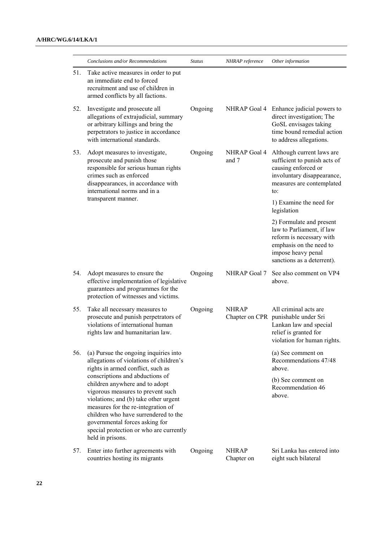|     | Conclusions and/or Recommendations                                                                                                                                                                                                                                                                                             | <b>Status</b> | NHRAP reference              | Other information                                                                                                                                                |
|-----|--------------------------------------------------------------------------------------------------------------------------------------------------------------------------------------------------------------------------------------------------------------------------------------------------------------------------------|---------------|------------------------------|------------------------------------------------------------------------------------------------------------------------------------------------------------------|
| 51. | Take active measures in order to put<br>an immediate end to forced<br>recruitment and use of children in<br>armed conflicts by all factions.                                                                                                                                                                                   |               |                              |                                                                                                                                                                  |
| 52. | Investigate and prosecute all<br>allegations of extrajudicial, summary<br>or arbitrary killings and bring the<br>perpetrators to justice in accordance<br>with international standards.                                                                                                                                        | Ongoing       |                              | NHRAP Goal 4 Enhance judicial powers to<br>direct investigation; The<br>GoSL envisages taking<br>time bound remedial action<br>to address allegations.           |
| 53. | Adopt measures to investigate,<br>prosecute and punish those<br>responsible for serious human rights<br>crimes such as enforced<br>disappearances, in accordance with<br>international norms and in a                                                                                                                          | Ongoing       | <b>NHRAP Goal 4</b><br>and 7 | Although current laws are<br>sufficient to punish acts of<br>causing enforced or<br>involuntary disappearance,<br>measures are contemplated<br>to:               |
|     | transparent manner.                                                                                                                                                                                                                                                                                                            |               |                              | 1) Examine the need for<br>legislation                                                                                                                           |
|     |                                                                                                                                                                                                                                                                                                                                |               |                              | 2) Formulate and present<br>law to Parliament, if law<br>reform is necessary with<br>emphasis on the need to<br>impose heavy penal<br>sanctions as a deterrent). |
| 54. | Adopt measures to ensure the<br>effective implementation of legislative<br>guarantees and programmes for the<br>protection of witnesses and victims.                                                                                                                                                                           | Ongoing       | NHRAP Goal 7                 | See also comment on VP4<br>above.                                                                                                                                |
| 55. | Take all necessary measures to<br>prosecute and punish perpetrators of<br>violations of international human<br>rights law and humanitarian law.                                                                                                                                                                                | Ongoing       | <b>NHRAP</b>                 | All criminal acts are<br>Chapter on CPR punishable under Sri<br>Lankan law and special<br>relief is granted for<br>violation for human rights.                   |
| 56. | (a) Pursue the ongoing inquiries into<br>allegations of violations of children's<br>rights in armed conflict, such as                                                                                                                                                                                                          |               |                              | (a) See comment on<br>Recommendations 47/48<br>above                                                                                                             |
|     | conscriptions and abductions of<br>children anywhere and to adopt<br>vigorous measures to prevent such<br>violations; and (b) take other urgent<br>measures for the re-integration of<br>children who have surrendered to the<br>governmental forces asking for<br>special protection or who are currently<br>held in prisons. |               |                              | (b) See comment on<br>Recommendation 46<br>above.                                                                                                                |
| 57. | Enter into further agreements with<br>countries hosting its migrants                                                                                                                                                                                                                                                           | Ongoing       | <b>NHRAP</b><br>Chapter on   | Sri Lanka has entered into<br>eight such bilateral                                                                                                               |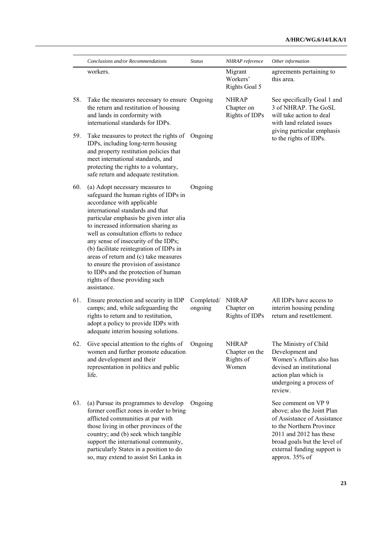|     | Conclusions and/or Recommendations                                                                                                                                                                                                                                                                                                                                                                                                                                                                                                  | <b>Status</b>         | NHRAP reference                                      | Other information                                                                                                                                                                                                        |
|-----|-------------------------------------------------------------------------------------------------------------------------------------------------------------------------------------------------------------------------------------------------------------------------------------------------------------------------------------------------------------------------------------------------------------------------------------------------------------------------------------------------------------------------------------|-----------------------|------------------------------------------------------|--------------------------------------------------------------------------------------------------------------------------------------------------------------------------------------------------------------------------|
|     | workers.                                                                                                                                                                                                                                                                                                                                                                                                                                                                                                                            |                       | Migrant<br>Workers'<br><b>Rights Goal 5</b>          | agreements pertaining to<br>this area.                                                                                                                                                                                   |
| 58. | Take the measures necessary to ensure Ongoing<br>the return and restitution of housing<br>and lands in conformity with<br>international standards for IDPs.                                                                                                                                                                                                                                                                                                                                                                         |                       | <b>NHRAP</b><br>Chapter on<br>Rights of IDPs         | See specifically Goal 1 and<br>3 of NHRAP. The GoSL<br>will take action to deal<br>with land related issues<br>giving particular emphasis<br>to the rights of IDPs.                                                      |
| 59. | Take measures to protect the rights of<br>IDPs, including long-term housing<br>and property restitution policies that<br>meet international standards, and<br>protecting the rights to a voluntary,<br>safe return and adequate restitution.                                                                                                                                                                                                                                                                                        | Ongoing               |                                                      |                                                                                                                                                                                                                          |
| 60. | (a) Adopt necessary measures to<br>safeguard the human rights of IDPs in<br>accordance with applicable<br>international standards and that<br>particular emphasis be given inter alia<br>to increased information sharing as<br>well as consultation efforts to reduce<br>any sense of insecurity of the IDPs;<br>(b) facilitate reintegration of IDPs in<br>areas of return and (c) take measures<br>to ensure the provision of assistance<br>to IDPs and the protection of human<br>rights of those providing such<br>assistance. | Ongoing               |                                                      |                                                                                                                                                                                                                          |
| 61. | Ensure protection and security in IDP<br>camps; and, while safeguarding the<br>rights to return and to restitution,<br>adopt a policy to provide IDPs with<br>adequate interim housing solutions.                                                                                                                                                                                                                                                                                                                                   | Completed/<br>ongoing | <b>NHRAP</b><br>Chapter on<br>Rights of IDPs         | All IDPs have access to<br>interim housing pending<br>return and resettlement.                                                                                                                                           |
| 62. | Give special attention to the rights of<br>women and further promote education<br>and development and their<br>representation in politics and public<br>life.                                                                                                                                                                                                                                                                                                                                                                       | Ongoing               | <b>NHRAP</b><br>Chapter on the<br>Rights of<br>Women | The Ministry of Child<br>Development and<br>Women's Affairs also has<br>devised an institutional<br>action plan which is<br>undergoing a process of<br>review.                                                           |
| 63. | (a) Pursue its programmes to develop<br>former conflict zones in order to bring<br>afflicted communities at par with<br>those living in other provinces of the<br>country; and (b) seek which tangible<br>support the international community,<br>particularly States in a position to do<br>so, may extend to assist Sri Lanka in                                                                                                                                                                                                  | Ongoing               |                                                      | See comment on VP 9<br>above; also the Joint Plan<br>of Assistance of Assistance<br>to the Northern Province<br>2011 and 2012 has these<br>broad goals but the level of<br>external funding support is<br>approx. 35% of |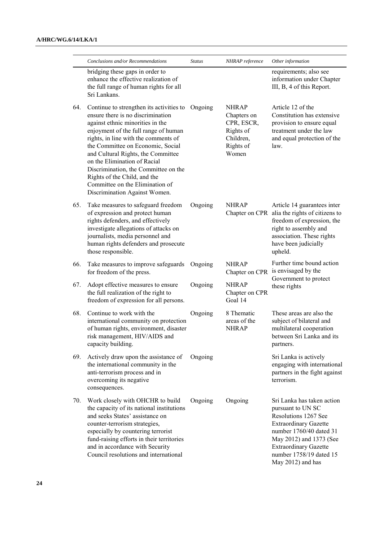|     | Conclusions and/or Recommendations                                                                                                                                                                                                                                                                                                                                                                                                                       | <b>Status</b> | NHRAP reference                                                                           | Other information                                                                                                                                                                                                                             |
|-----|----------------------------------------------------------------------------------------------------------------------------------------------------------------------------------------------------------------------------------------------------------------------------------------------------------------------------------------------------------------------------------------------------------------------------------------------------------|---------------|-------------------------------------------------------------------------------------------|-----------------------------------------------------------------------------------------------------------------------------------------------------------------------------------------------------------------------------------------------|
|     | bridging these gaps in order to<br>enhance the effective realization of<br>the full range of human rights for all<br>Sri Lankans.                                                                                                                                                                                                                                                                                                                        |               |                                                                                           | requirements; also see<br>information under Chapter<br>III, B, 4 of this Report.                                                                                                                                                              |
| 64. | Continue to strengthen its activities to<br>ensure there is no discrimination<br>against ethnic minorities in the<br>enjoyment of the full range of human<br>rights, in line with the comments of<br>the Committee on Economic, Social<br>and Cultural Rights, the Committee<br>on the Elimination of Racial<br>Discrimination, the Committee on the<br>Rights of the Child, and the<br>Committee on the Elimination of<br>Discrimination Against Women. | Ongoing       | <b>NHRAP</b><br>Chapters on<br>CPR, ESCR,<br>Rights of<br>Children,<br>Rights of<br>Women | Article 12 of the<br>Constitution has extensive<br>provision to ensure equal<br>treatment under the law<br>and equal protection of the<br>law.                                                                                                |
| 65. | Take measures to safeguard freedom<br>of expression and protect human<br>rights defenders, and effectively<br>investigate allegations of attacks on<br>journalists, media personnel and<br>human rights defenders and prosecute<br>those responsible.                                                                                                                                                                                                    | Ongoing       | <b>NHRAP</b>                                                                              | Article 14 guarantees inter<br>Chapter on CPR alia the rights of citizens to<br>freedom of expression, the<br>right to assembly and<br>association. These rights<br>have been judicially<br>upheld.                                           |
| 66. | Take measures to improve safeguards<br>for freedom of the press.                                                                                                                                                                                                                                                                                                                                                                                         | Ongoing       | <b>NHRAP</b>                                                                              | Further time bound action<br>Chapter on CPR is envisaged by the<br>Government to protect<br>these rights                                                                                                                                      |
| 67. | Adopt effective measures to ensure<br>the full realization of the right to<br>freedom of expression for all persons.                                                                                                                                                                                                                                                                                                                                     | Ongoing       | <b>NHRAP</b><br>Chapter on CPR<br>Goal 14                                                 |                                                                                                                                                                                                                                               |
| 68. | Continue to work with the<br>international community on protection<br>of human rights, environment, disaster<br>risk management, HIV/AIDS and<br>capacity building.                                                                                                                                                                                                                                                                                      | Ongoing       | 8 Thematic<br>areas of the<br><b>NHRAP</b>                                                | These areas are also the<br>subject of bilateral and<br>multilateral cooperation<br>between Sri Lanka and its<br>partners.                                                                                                                    |
| 69. | Actively draw upon the assistance of<br>the international community in the<br>anti-terrorism process and in<br>overcoming its negative<br>consequences.                                                                                                                                                                                                                                                                                                  | Ongoing       |                                                                                           | Sri Lanka is actively<br>engaging with international<br>partners in the fight against<br>terrorism.                                                                                                                                           |
| 70. | Work closely with OHCHR to build<br>the capacity of its national institutions<br>and seeks States' assistance on<br>counter-terrorism strategies,<br>especially by countering terrorist<br>fund-raising efforts in their territories<br>and in accordance with Security<br>Council resolutions and international                                                                                                                                         | Ongoing       | Ongoing                                                                                   | Sri Lanka has taken action<br>pursuant to UN SC<br>Resolutions 1267 See<br><b>Extraordinary Gazette</b><br>number 1760/40 dated 31<br>May 2012) and 1373 (See<br><b>Extraordinary Gazette</b><br>number 1758/19 dated 15<br>May 2012) and has |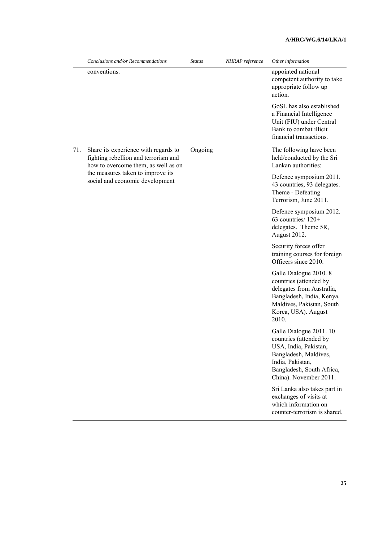|     | Conclusions and/or Recommendations                                                                                                                                                          | <b>Status</b> | NHRAP reference | Other information                                                                                                                                                              |
|-----|---------------------------------------------------------------------------------------------------------------------------------------------------------------------------------------------|---------------|-----------------|--------------------------------------------------------------------------------------------------------------------------------------------------------------------------------|
|     | conventions.                                                                                                                                                                                |               |                 | appointed national<br>competent authority to take<br>appropriate follow up<br>action.                                                                                          |
|     |                                                                                                                                                                                             |               |                 | GoSL has also established<br>a Financial Intelligence<br>Unit (FIU) under Central<br>Bank to combat illicit<br>financial transactions.                                         |
| 71. | Share its experience with regards to<br>fighting rebellion and terrorism and<br>how to overcome them, as well as on<br>the measures taken to improve its<br>social and economic development | Ongoing       |                 | The following have been<br>held/conducted by the Sri<br>Lankan authorities:                                                                                                    |
|     |                                                                                                                                                                                             |               |                 | Defence symposium 2011.<br>43 countries, 93 delegates.<br>Theme - Defeating<br>Terrorism, June 2011.                                                                           |
|     |                                                                                                                                                                                             |               |                 | Defence symposium 2012.<br>63 countries/120+<br>delegates. Theme 5R,<br>August 2012.                                                                                           |
|     |                                                                                                                                                                                             |               |                 | Security forces offer<br>training courses for foreign<br>Officers since 2010.                                                                                                  |
|     |                                                                                                                                                                                             |               |                 | Galle Dialogue 2010. 8<br>countries (attended by<br>delegates from Australia,<br>Bangladesh, India, Kenya,<br>Maldives, Pakistan, South<br>Korea, USA). August<br>2010.        |
|     |                                                                                                                                                                                             |               |                 | Galle Dialogue 2011. 10<br>countries (attended by<br>USA, India, Pakistan,<br>Bangladesh, Maldives,<br>India, Pakistan,<br>Bangladesh, South Africa,<br>China). November 2011. |
|     |                                                                                                                                                                                             |               |                 | Sri Lanka also takes part in<br>exchanges of visits at<br>which information on<br>counter-terrorism is shared.                                                                 |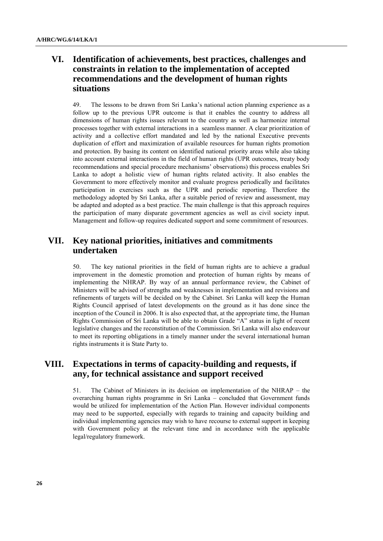# **VI. Identification of achievements, best practices, challenges and constraints in relation to the implementation of accepted recommendations and the development of human rights situations**

49. The lessons to be drawn from Sri Lanka"s national action planning experience as a follow up to the previous UPR outcome is that it enables the country to address all dimensions of human rights issues relevant to the country as well as harmonize internal processes together with external interactions in a seamless manner. A clear prioritization of activity and a collective effort mandated and led by the national Executive prevents duplication of effort and maximization of available resources for human rights promotion and protection. By basing its content on identified national priority areas while also taking into account external interactions in the field of human rights (UPR outcomes, treaty body recommendations and special procedure mechanisms" observations) this process enables Sri Lanka to adopt a holistic view of human rights related activity. It also enables the Government to more effectively monitor and evaluate progress periodically and facilitates participation in exercises such as the UPR and periodic reporting. Therefore the methodology adopted by Sri Lanka, after a suitable period of review and assessment, may be adapted and adopted as a best practice. The main challenge is that this approach requires the participation of many disparate government agencies as well as civil society input. Management and follow-up requires dedicated support and some commitment of resources.

## **VII. Key national priorities, initiatives and commitments undertaken**

50. The key national priorities in the field of human rights are to achieve a gradual improvement in the domestic promotion and protection of human rights by means of implementing the NHRAP. By way of an annual performance review, the Cabinet of Ministers will be advised of strengths and weaknesses in implementation and revisions and refinements of targets will be decided on by the Cabinet. Sri Lanka will keep the Human Rights Council apprised of latest developments on the ground as it has done since the inception of the Council in 2006. It is also expected that, at the appropriate time, the Human Rights Commission of Sri Lanka will be able to obtain Grade "A" status in light of recent legislative changes and the reconstitution of the Commission. Sri Lanka will also endeavour to meet its reporting obligations in a timely manner under the several international human rights instruments it is State Party to.

# **VIII. Expectations in terms of capacity-building and requests, if any, for technical assistance and support received**

51. The Cabinet of Ministers in its decision on implementation of the NHRAP – the overarching human rights programme in Sri Lanka – concluded that Government funds would be utilized for implementation of the Action Plan. However individual components may need to be supported, especially with regards to training and capacity building and individual implementing agencies may wish to have recourse to external support in keeping with Government policy at the relevant time and in accordance with the applicable legal/regulatory framework.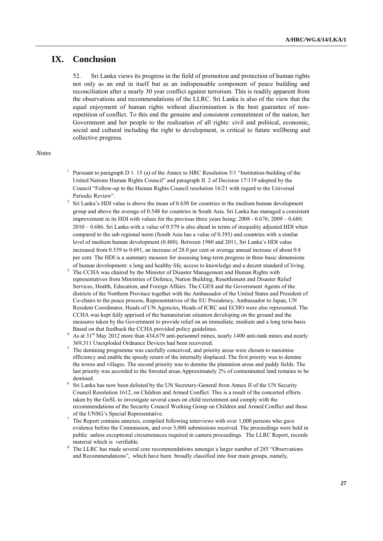# **IX. Conclusion**

52. Sri Lanka views its progress in the field of promotion and protection of human rights not only as an end in itself but as an indispensable component of peace building and reconciliation after a nearly 30 year conflict against terrorism. This is readily apparent from the observations and recommendations of the LLRC. Sri Lanka is also of the view that the equal enjoyment of human rights without discrimination is the best guarantee of nonrepetition of conflict. To this end the genuine and consistent commitment of the nation, her Government and her people to the realization of all rights: civil and political, economic, social and cultural including the right to development, is critical to future wellbeing and collective progress.

#### *Notes*

- 1 Pursuant to paragraph D 1. 15 (a) of the Annex to HRC Resolution 5/1 "Institution-building of the United Nations Human Rights Council" and paragraph II. 2 of Decision 17/119 adopted by the Council "Follow-up to the Human Rights Council resolution 16/21 with regard to the Universal Periodic Review".
- 2 Sri Lanka"s HDI value is above the mean of 0.630 for countries in the medium human development group and above the average of 0.548 for countries in South Asia. Sri Lanka has managed a consistent improvement in its HDI with values for the previous three years being: 2008 - 0.676; 2009 – 0.680; 2010 – 0.686. Sri Lanka with a value of 0.579 is also ahead in terms of inequality adjusted HDI when compared to the sub regional norm (South Asia has a value of 0.393) and countries with a similar level of medium human development (0.480). Between 1980 and 2011, Sri Lanka"s HDI value increased from 0.539 to 0.691, an increase of 28.0 per cent or average annual increase of about 0.8 per cent. The HDI is a summary measure for assessing long-term progress in three basic dimensions of human development: a long and healthy life, access to knowledge and a decent standard of living.
- <sup>3</sup> The CCHA was chaired by the Minister of Disaster Management and Human Rights with representatives from Ministries of Defence, Nation Building, Resettlement and Disaster Relief Services, Health, Education, and Foreign Affairs. The CGES and the Government Agents of the districts of the Northern Province together with the Ambassador of the United States and President of Co-chairs to the peace process, Representatives of the EU Presidency, Ambassador to Japan, UN Resident Coordinator, Heads of UN Agencies, Heads of ICRC and ECHO were also represented. The CCHA was kept fully apprised of the humanitarian situation developing on the ground and the measures taken by the Government to provide relief on an immediate, medium and a long term basis. Based on that feedback the CCHA provided policy guidelines.
- As at 31<sup>st</sup> May 2012 more than 434,679 anti-personnel mines, nearly 1400 anti-tank mines and nearly 369,311 Unexploded Ordnance Devices had been recovered.
- The demining programme was carefully conceived, and priority areas were chosen to maximise efficiency and enable the speedy return of the internally displaced. The first priority was to demine the towns and villages. The second priority was to demine the plantation areas and paddy fields. The last priority was accorded to the forested areas.Approximately 2% of contaminated land remains to be demined.
- <sup>6</sup> Sri Lanka has now been delisted by the UN Secretary-General from Annex II of the UN Security Council Resolution 1612, on Children and Armed Conflict. This is a result of the concerted efforts taken by the GoSL to investigate several cases on child recruitment and comply with the recommendations of the Security Council Working Group on Children and Armed Conflict and those of the UNSG"s Special Representative.
- $\frac{7}{1}$  The Report contains annexes, compiled following interviews with over 1,000 persons who gave evidence before the Commission, and over 5,000 submissions received. The proceedings were held in public unless exceptional circumstances required in camera proceedings. The LLRC Report, records material which is verifiable.
- <sup>8</sup> The LLRC has made several core recommendations amongst a larger number of 285 "Observations" and Recommendations", which have been broadly classified into four main groups, namely,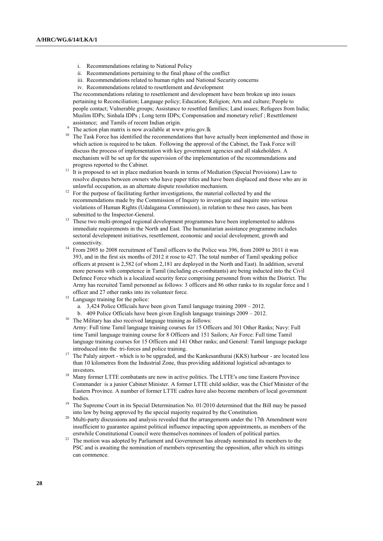- i. Recommendations relating to National Policy
- ii. Recommendations pertaining to the final phase of the conflict
- iii. Recommendations related to human rights and National Security concerns
- iv. Recommendations related to resettlement and development

The recommendations relating to resettlement and development have been broken up into issues pertaining to Reconciliation; Language policy; Education; Religion; Arts and culture; People to people contact; Vulnerable groups; Assistance to resettled families; Land issues; Refugees from India; Muslim IDPs; Sinhala IDPs ; Long term IDPs; Compensation and monetary relief ; Resettlement assistance; and Tamils of recent Indian origin.

- <sup>9</sup> The action plan matrix is now available at [www.priu.gov.lk](http://www.priu.gov.lk/)
- <sup>10</sup> The Task Force has identified the recommendations that have actually been implemented and those in which action is required to be taken. Following the approval of the Cabinet, the Task Force will discuss the process of implementation with key government agencies and all stakeholders. A mechanism will be set up for the supervision of the implementation of the recommendations and progress reported to the Cabinet.
- <sup>11</sup> It is proposed to set in place mediation boards in terms of Mediation (Special Provisions) Law to resolve disputes between owners who have paper titles and have been displaced and those who are in unlawful occupation, as an alternate dispute resolution mechanism.
- <sup>12</sup> For the purpose of facilitating further investigations, the material collected by and the recommendations made by the Commission of Inquiry to investigate and inquire into serious violations of Human Rights (Udalagama Commission), in relation to these two cases, has been submitted to the Inspector-General.
- <sup>13</sup> These two multi-pronged regional development programmes have been implemented to address immediate requirements in the North and East. The humanitarian assistance programme includes sectoral development initiatives, resettlement, economic and social development, growth and connectivity.
- <sup>14</sup> From 2005 to 2008 recruitment of Tamil officers to the Police was 396, from 2009 to 2011 it was 393, and in the first six months of 2012 it rose to 427. The total number of Tamil speaking police officers at present is 2,582 (of whom 2,181 are deployed in the North and East). In addition, several more persons with competence in Tamil (including ex-combatants) are being inducted into the Civil Defence Force which is a localized security force comprising personnel from within the District. The Army has recruited Tamil personnel as follows: 3 officers and 86 other ranks to its regular force and 1 officer and 27 other ranks into its volunteer force.
- <sup>15</sup> Language training for the police:
	- a. 3,424 Police Officials have been given Tamil language training 2009 2012.
- b. 409 Police Officials have been given English language trainings 2009 2012.
- <sup>16</sup> The Military has also received language training as follows:

Army: Full time Tamil language training courses for 15 Officers and 301 Other Ranks; Navy: Full time Tamil language training course for 8 Officers and 151 Sailors; Air Force: Full time Tamil language training courses for 15 Officers and 141 Other ranks; and General: Tamil language package introduced into the tri-forces and police training.

- <sup>17</sup> The Palaly airport which is to be upgraded, and the Kankesanthurai (KKS) harbour are located less than 10 kilometres from the Industrial Zone, thus providing additional logistical advantages to investors.
- <sup>18</sup> Many former LTTE combatants are now in active politics. The LTTE's one time Eastern Province Commander is a junior Cabinet Minister. A former LTTE child soldier, was the Chief Minister of the Eastern Province. A number of former LTTE cadres have also become members of local government bodies.
- <sup>19</sup> The Supreme Court in its Special Determination No. 01/2010 determined that the Bill may be passed into law by being approved by the special majority required by the Constitution.
- <sup>20</sup> Multi-party discussions and analysis revealed that the arrangements under the 17th Amendment were insufficient to guarantee against political influence impacting upon appointments, as members of the erstwhile Constitutional Council were themselves nominees of leaders of political parties.
- <sup>21</sup> The motion was adopted by Parliament and Government has already nominated its members to the PSC and is awaiting the nomination of members representing the opposition, after which its sittings can commence.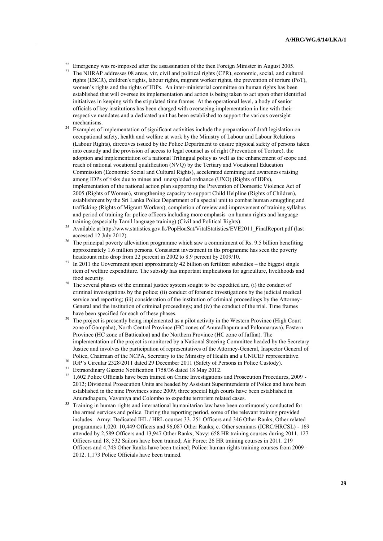- <sup>22</sup> Emergency was re-imposed after the assassination of the then Foreign Minister in August 2005.<br><sup>23</sup> The NUD AD eddresses 08 areas via sivil and political rights (CDD) assassmin social and sulti
- The NHRAP addresses 08 areas, viz, civil and political rights (CPR), economic, social, and cultural rights (ESCR), children's rights, labour rights, migrant worker rights, the prevention of torture (PoT), women"s rights and the rights of IDPs. An inter-ministerial committee on human rights has been established that will oversee its implementation and action is being taken to act upon other identified initiatives in keeping with the stipulated time frames. At the operational level, a body of senior officials of key institutions has been charged with overseeing implementation in line with their respective mandates and a dedicated unit has been established to support the various oversight mechanisms.
- <sup>24</sup> Examples of implementation of significant activities include the preparation of draft legislation on occupational safety, health and welfare at work by the Ministry of Labour and Labour Relations (Labour Rights), directives issued by the Police Department to ensure physical safety of persons taken into custody and the provision of access to legal counsel as of right (Prevention of Torture), the adoption and implementation of a national Trilingual policy as well as the enhancement of scope and reach of national vocational qualification (NVQ) by the Tertiary and Vocational Education Commission (Economic Social and Cultural Rights), accelerated demining and awareness raising among IDPs of risks due to mines and unexploded ordnance (UXO) (Rights of IDPs), implementation of the national action plan supporting the Prevention of Domestic Violence Act of 2005 (Rights of Women), strengthening capacity to support Child Helpline (Rights of Children), establishment by the Sri Lanka Police Department of a special unit to combat human smuggling and trafficking (Rights of Migrant Workers), completion of review and improvement of training syllabus and period of training for police officers including more emphasis on human rights and language training (especially Tamil language training) (Civil and Political Rights).
- <sup>25</sup> Available at [http://www.statistics.gov.lk/PopHouSat/VitalStatistics/EVE2011\\_FinalReport.pdf](http://www.statistics.gov.lk/PopHouSat/VitalStatistics/EVE2011_FinalReport.pdf) (last accessed 12 July 2012).
- <sup>26</sup> The principal poverty alleviation programme which saw a commitment of Rs. 9.5 billion benefiting approximately 1.6 million persons. Consistent investment in ths programme has seen the poverty headcount ratio drop from 22 percent in 2002 to 8.9 percent by 2009/10.
- $^{27}$  In 2011 the Government spent approximately 42 billion on fertilizer subsidies the biggest single item of welfare expenditure. The subsidy has important implications for agriculture, livelihoods and food security.
- $^{28}$  The several phases of the criminal justice system sought to be expedited are, (i) the conduct of criminal investigations by the police; (ii) conduct of forensic investigations by the judicial medical service and reporting; (iii) consideration of the institution of criminal proceedings by the Attorney-General and the institution of criminal proceedings; and (iv) the conduct of the trial. Time frames have been specified for each of these phases.
- <sup>29</sup> The project is presently being implemented as a pilot activity in the Western Province (High Court zone of Gampaha), North Central Province (HC zones of Anuradhapura and Polonnaruwa), Eastern Province (HC zone of Batticaloa) and the Northern Province (HC zone of Jaffna). The implementation of the project is monitored by a National Steering Committee headed by the Secretary Justice and involves the participation of representatives of the Attorney-General, Inspector General of Police, Chairman of the NCPA, Secretary to the Ministry of Health and a UNICEF representative.
- <sup>30</sup> IGP's Circular 2328/2011 dated 29 December 2011 (Safety of Persons in Police Custody).
- <sup>31</sup> Extraordinary Gazette Notification 1758/36 dated 18 May 2012.
- <sup>32</sup> 1,602 Police Officials have been trained on Crime Investigations and Prosecution Procedures, 2009 -2012; Divisional Prosecution Units are headed by Assistant Superintendents of Police and have been established in the nine Provinces since 2009; three special high courts have been established in Anuradhapura, Vavuniya and Colombo to expedite terrorism related cases.
- <sup>33</sup> Training in human rights and international humanitarian law have been continuously conducted for the armed services and police. During the reporting period, some of the relevant training provided includes: Army: Dedicated IHL / HRL courses 33. 251 Officers and 346 Other Ranks; Other related programmes 1,020. 10,449 Officers and 96,087 Other Ranks; c. Other seminars (ICRC/HRCSL) - 169 attended by 2,589 Officers and 13,947 Other Ranks; Navy: 658 HR training courses during 2011. 127 Officers and 18, 532 Sailors have been trained; Air Force: 26 HR training courses in 2011. 219 Officers and 4,743 Other Ranks have been trained; Police: human rights training courses from 2009 - 2012. 1,173 Police Officials have been trained.